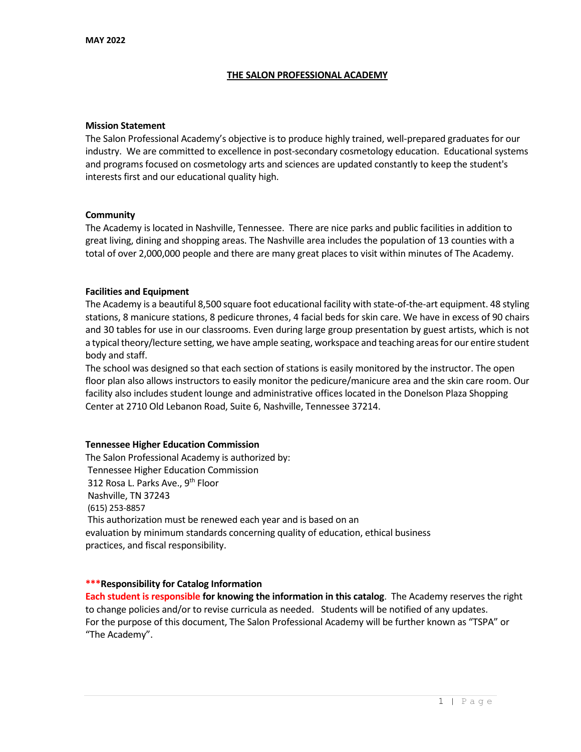#### **THE SALON PROFESSIONAL ACADEMY**

#### **Mission Statement**

The Salon Professional Academy's objective is to produce highly trained, well-prepared graduates for our industry. We are committed to excellence in post-secondary cosmetology education. Educational systems and programs focused on cosmetology arts and sciences are updated constantly to keep the student's interests first and our educational quality high.

#### **Community**

The Academy is located in Nashville, Tennessee. There are nice parks and public facilities in addition to great living, dining and shopping areas. The Nashville area includes the population of 13 counties with a total of over 2,000,000 people and there are many great places to visit within minutes of The Academy.

#### **Facilities and Equipment**

The Academy is a beautiful 8,500 square foot educational facility with state-of-the-art equipment. 48 styling stations, 8 manicure stations, 8 pedicure thrones, 4 facial beds for skin care. We have in excess of 90 chairs and 30 tables for use in our classrooms. Even during large group presentation by guest artists, which is not a typical theory/lecture setting, we have ample seating, workspace and teaching areas for our entire student body and staff.

The school was designed so that each section of stations is easily monitored by the instructor. The open floor plan also allows instructors to easily monitor the pedicure/manicure area and the skin care room. Our facility also includes student lounge and administrative offices located in the Donelson Plaza Shopping Center at 2710 Old Lebanon Road, Suite 6, Nashville, Tennessee 37214.

#### **Tennessee Higher Education Commission**

The Salon Professional Academy is authorized by: Tennessee Higher Education Commission 312 Rosa L. Parks Ave., 9<sup>th</sup> Floor Nashville, TN 37243 (615) 253-8857 This authorization must be renewed each year and is based on an evaluation by minimum standards concerning quality of education, ethical business practices, and fiscal responsibility.

#### **\*\*\*Responsibility for Catalog Information**

**Each student is responsible for knowing the information in this catalog**. The Academy reserves the right to change policies and/or to revise curricula as needed. Students will be notified of any updates. For the purpose of this document, The Salon Professional Academy will be further known as "TSPA" or "The Academy".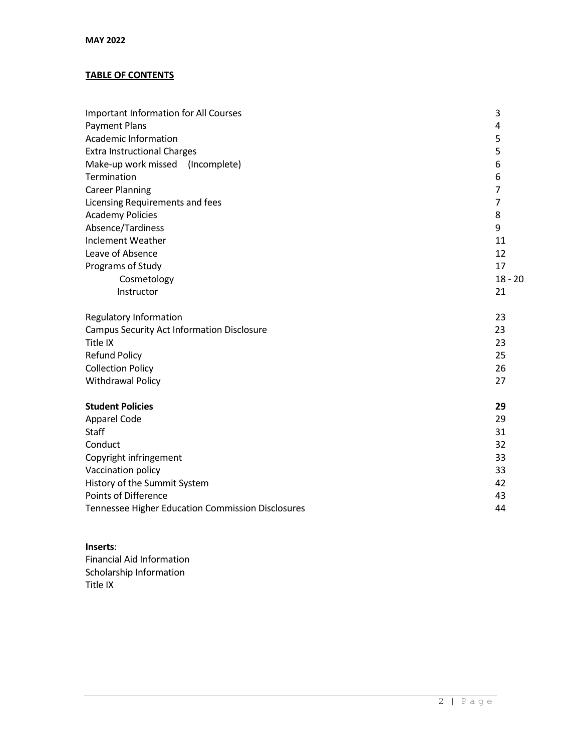# **TABLE OF CONTENTS**

| <b>Important Information for All Courses</b>      | 3              |
|---------------------------------------------------|----------------|
| Payment Plans                                     | 4              |
| <b>Academic Information</b>                       | 5              |
| <b>Extra Instructional Charges</b>                | 5              |
| Make-up work missed (Incomplete)                  | 6              |
| Termination                                       | 6              |
| <b>Career Planning</b>                            | $\overline{7}$ |
| Licensing Requirements and fees                   | $\overline{7}$ |
| <b>Academy Policies</b>                           | 8              |
| Absence/Tardiness                                 | 9              |
| <b>Inclement Weather</b>                          | 11             |
| Leave of Absence                                  | 12             |
| Programs of Study                                 | 17             |
| Cosmetology                                       | $18 - 20$      |
| Instructor                                        | 21             |
| <b>Regulatory Information</b>                     | 23             |
| <b>Campus Security Act Information Disclosure</b> | 23             |
| Title IX                                          | 23             |
| <b>Refund Policy</b>                              | 25             |
| <b>Collection Policy</b>                          | 26             |
| Withdrawal Policy                                 | 27             |
| <b>Student Policies</b>                           | 29             |
| Apparel Code                                      | 29             |
| <b>Staff</b>                                      | 31             |
| Conduct                                           | 32             |
| Copyright infringement                            | 33             |
| Vaccination policy                                | 33             |
| History of the Summit System                      | 42             |
| <b>Points of Difference</b>                       | 43             |
| Tennessee Higher Education Commission Disclosures | 44             |

# **Inserts**:

Financial Aid Information Scholarship Information Title IX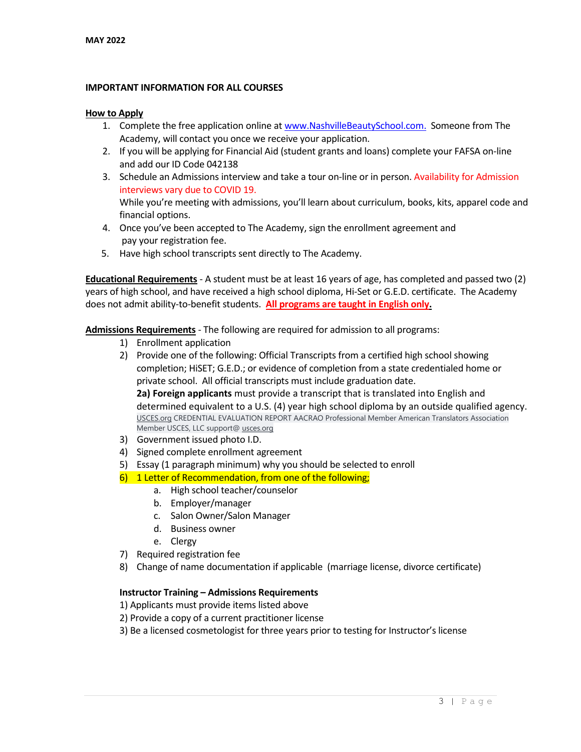#### **IMPORTANT INFORMATION FOR ALL COURSES**

#### **How to Apply**

- 1. Complete the free application online at [www.NashvilleBeautySchool.com.](http://www.nashvillebeautyschool.com/) Someone from The Academy, will contact you once we receive your application.
- 2. If you will be applying for Financial Aid (student grants and loans) complete your FAFSA on-line and add our ID Code 042138
- 3. Schedule an Admissions interview and take a tour on-line or in person. Availability for Admission interviews vary due to COVID 19. While you're meeting with admissions, you'll learn about curriculum, books, kits, apparel code and
- 4. Once you've been accepted to The Academy, sign the enrollment agreement and pay your registration fee.
- 5. Have high school transcripts sent directly to The Academy.

**Educational Requirements** - A student must be at least 16 years of age, has completed and passed two (2) years of high school, and have received a high school diploma, Hi-Set or G.E.D. certificate. The Academy does not admit ability-to-benefit students. **All programs are taught in English only.**

**Admissions Requirements** - The following are required for admission to all programs:

1) Enrollment application

financial options.

2) Provide one of the following: Official Transcripts from a certified high school showing completion; HiSET; G.E.D.; or evidence of completion from a state credentialed home or private school. All official transcripts must include graduation date.

**2a) Foreign applicants** must provide a transcript that is translated into English and determined equivalent to a U.S. (4) year high school diploma by an outside qualified agency. [USCES.org](http://usces.org/) CREDENTIAL EVALUATION REPORT AACRAO Professional Member American Translators Association Member USCES, LLC support@ [usces.org](http://usces.org/)

- 3) Government issued photo I.D.
- 4) Signed complete enrollment agreement
- 5) Essay (1 paragraph minimum) why you should be selected to enroll
- 6) 1 Letter of Recommendation, from one of the following;
	- a. High school teacher/counselor
	- b. Employer/manager
	- c. Salon Owner/Salon Manager
	- d. Business owner
	- e. Clergy
- 7) Required registration fee
- 8) Change of name documentation if applicable (marriage license, divorce certificate)

#### **Instructor Training – Admissions Requirements**

- 1) Applicants must provide items listed above
- 2) Provide a copy of a current practitioner license
- 3) Be a licensed cosmetologist for three years prior to testing for Instructor's license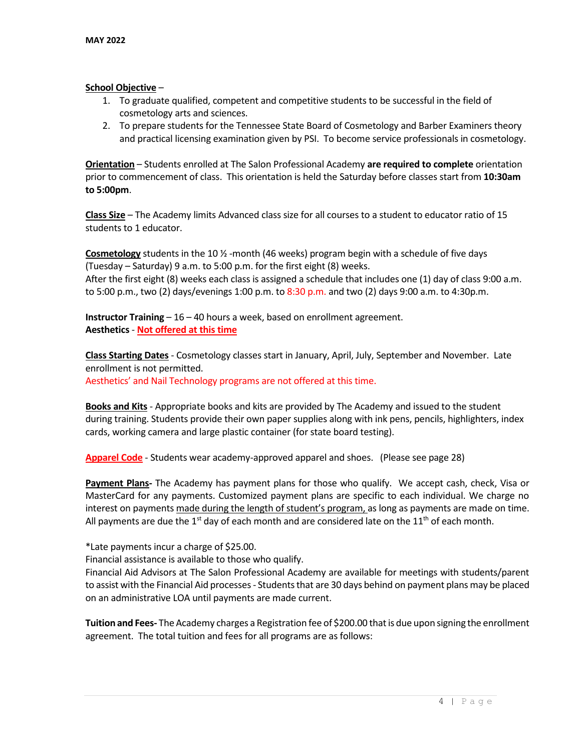#### **School Objective** –

- 1. To graduate qualified, competent and competitive students to be successful in the field of cosmetology arts and sciences.
- 2. To prepare students for the Tennessee State Board of Cosmetology and Barber Examiners theory and practical licensing examination given by PSI. To become service professionals in cosmetology.

**Orientation** – Students enrolled at The Salon Professional Academy **are required to complete** orientation prior to commencement of class. This orientation is held the Saturday before classes start from **10:30am to 5:00pm**.

**Class Size** – The Academy limits Advanced class size for all courses to a student to educator ratio of 15 students to 1 educator.

**Cosmetology** students in the 10 ½ -month (46 weeks) program begin with a schedule of five days (Tuesday – Saturday) 9 a.m. to 5:00 p.m. for the first eight (8) weeks. After the first eight (8) weeks each class is assigned a schedule that includes one (1) day of class 9:00 a.m. to 5:00 p.m., two (2) days/evenings 1:00 p.m. to 8:30 p.m. and two (2) days 9:00 a.m. to 4:30p.m.

**Instructor Training** – 16 – 40 hours a week, based on enrollment agreement. **Aesthetics** - **Not offered at this time**

**Class Starting Dates** - Cosmetology classes start in January, April, July, September and November. Late enrollment is not permitted.

Aesthetics' and Nail Technology programs are not offered at this time.

**Books and Kits** - Appropriate books and kits are provided by The Academy and issued to the student during training. Students provide their own paper supplies along with ink pens, pencils, highlighters, index cards, working camera and large plastic container (for state board testing).

**Apparel Code** - Students wear academy-approved apparel and shoes. (Please see page 28)

**Payment Plans-** The Academy has payment plans for those who qualify. We accept cash, check, Visa or MasterCard for any payments. Customized payment plans are specific to each individual. We charge no interest on payments made during the length of student's program, as long as payments are made on time. All payments are due the 1<sup>st</sup> day of each month and are considered late on the 11<sup>th</sup> of each month.

\*Late payments incur a charge of \$25.00.

Financial assistance is available to those who qualify.

Financial Aid Advisors at The Salon Professional Academy are available for meetings with students/parent to assist with the Financial Aid processes- Students that are 30 days behind on payment plans may be placed on an administrative LOA until payments are made current.

**Tuition and Fees-** The Academy charges a Registration fee of \$200.00 that is due upon signing the enrollment agreement. The total tuition and fees for all programs are as follows: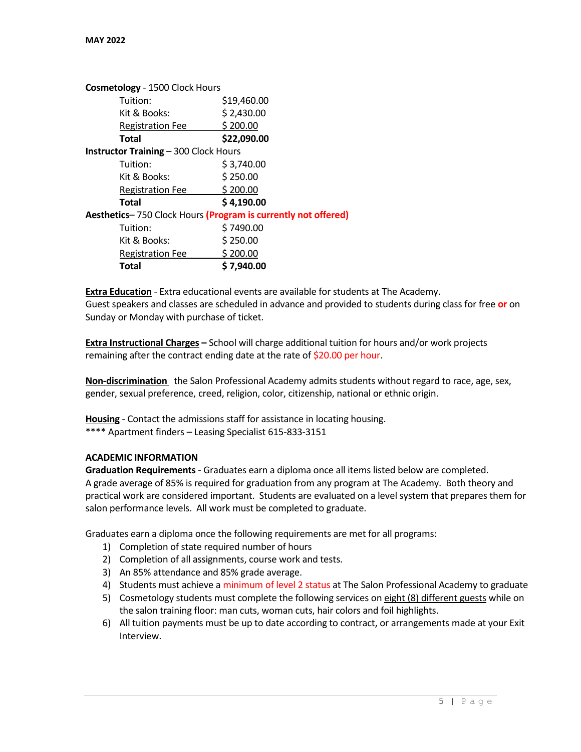| Cosmetology - 1500 Clock Hours               |                                                               |
|----------------------------------------------|---------------------------------------------------------------|
| Tuition:                                     | \$19,460.00                                                   |
| Kit & Books:                                 | \$2,430.00                                                    |
| <b>Registration Fee</b>                      | \$200.00                                                      |
| Total                                        | \$22,090.00                                                   |
| <b>Instructor Training - 300 Clock Hours</b> |                                                               |
| Tuition:                                     | \$3,740.00                                                    |
| Kit & Books:                                 | \$250.00                                                      |
| <b>Registration Fee</b>                      | \$200.00                                                      |
| Total                                        | \$4,190.00                                                    |
|                                              | Aesthetics-750 Clock Hours (Program is currently not offered) |
| Tuition:                                     | \$7490.00                                                     |
| Kit & Books:                                 | \$250.00                                                      |
| <b>Registration Fee</b>                      | \$200.00                                                      |
| Total                                        | \$7,940.00                                                    |

**Extra Education** - Extra educational events are available for students at The Academy. Guest speakers and classes are scheduled in advance and provided to students during class for free **or** on Sunday or Monday with purchase of ticket.

**Extra Instructional Charges –** School will charge additional tuition for hours and/or work projects remaining after the contract ending date at the rate of \$20.00 per hour.

**Non-discrimination** the Salon Professional Academy admits students without regard to race, age, sex, gender, sexual preference, creed, religion, color, citizenship, national or ethnic origin.

**Housing** - Contact the admissions staff for assistance in locating housing. \*\*\*\* Apartment finders – Leasing Specialist 615-833-3151

#### **ACADEMIC INFORMATION**

**Graduation Requirements** - Graduates earn a diploma once all items listed below are completed. A grade average of 85% is required for graduation from any program at The Academy. Both theory and practical work are considered important. Students are evaluated on a level system that prepares them for salon performance levels. All work must be completed to graduate.

Graduates earn a diploma once the following requirements are met for all programs:

- 1) Completion of state required number of hours
- 2) Completion of all assignments, course work and tests.
- 3) An 85% attendance and 85% grade average.
- 4) Students must achieve a minimum of level 2 status at The Salon Professional Academy to graduate
- 5) Cosmetology students must complete the following services on eight (8) different guests while on the salon training floor: man cuts, woman cuts, hair colors and foil highlights.
- 6) All tuition payments must be up to date according to contract, or arrangements made at your Exit Interview.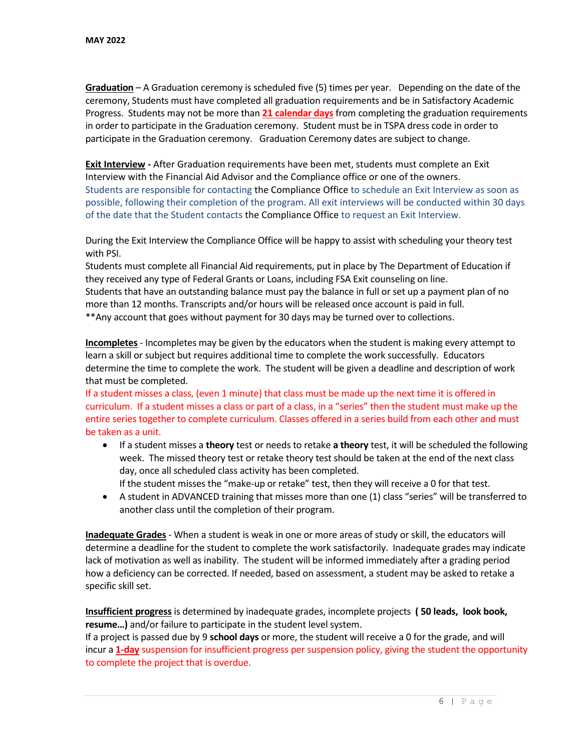**Graduation** – A Graduation ceremony is scheduled five (5) times per year. Depending on the date of the ceremony, Students must have completed all graduation requirements and be in Satisfactory Academic Progress. Students may not be more than **21 calendar days** from completing the graduation requirements in order to participate in the Graduation ceremony. Student must be in TSPA dress code in order to participate in the Graduation ceremony. Graduation Ceremony dates are subject to change.

**Exit Interview -** After Graduation requirements have been met, students must complete an Exit Interview with the Financial Aid Advisor and the Compliance office or one of the owners. Students are responsible for contacting the Compliance Office to schedule an Exit Interview as soon as possible, following their completion of the program. All exit interviews will be conducted within 30 days of the date that the Student contacts the Compliance Office to request an Exit Interview.

During the Exit Interview the Compliance Office will be happy to assist with scheduling your theory test with PSI.

Students must complete all Financial Aid requirements, put in place by The Department of Education if they received any type of Federal Grants or Loans, including FSA Exit counseling on line. Students that have an outstanding balance must pay the balance in full or set up a payment plan of no more than 12 months. Transcripts and/or hours will be released once account is paid in full. \*\*Any account that goes without payment for 30 days may be turned over to collections.

**Incompletes** - Incompletes may be given by the educators when the student is making every attempt to learn a skill or subject but requires additional time to complete the work successfully. Educators determine the time to complete the work. The student will be given a deadline and description of work that must be completed.

If a student misses a class, (even 1 minute) that class must be made up the next time it is offered in curriculum. If a student misses a class or part of a class, in a "series" then the student must make up the entire series together to complete curriculum. Classes offered in a series build from each other and must be taken as a unit.

- If a student misses a **theory** test or needs to retake **a theory** test, it will be scheduled the following week. The missed theory test or retake theory test should be taken at the end of the next class day, once all scheduled class activity has been completed.
- If the student misses the "make-up or retake" test, then they will receive a 0 for that test. • A student in ADVANCED training that misses more than one (1) class "series" will be transferred to another class until the completion of their program.

**Inadequate Grades** - When a student is weak in one or more areas of study or skill, the educators will determine a deadline for the student to complete the work satisfactorily. Inadequate grades may indicate lack of motivation as well as inability. The student will be informed immediately after a grading period how a deficiency can be corrected. If needed, based on assessment, a student may be asked to retake a specific skill set.

**Insufficient progress** is determined by inadequate grades, incomplete projects **( 50 leads, look book, resume…)** and/or failure to participate in the student level system.

If a project is passed due by 9 **school days** or more, the student will receive a 0 for the grade, and will incur a **1-day** suspension for insufficient progress per suspension policy, giving the student the opportunity to complete the project that is overdue.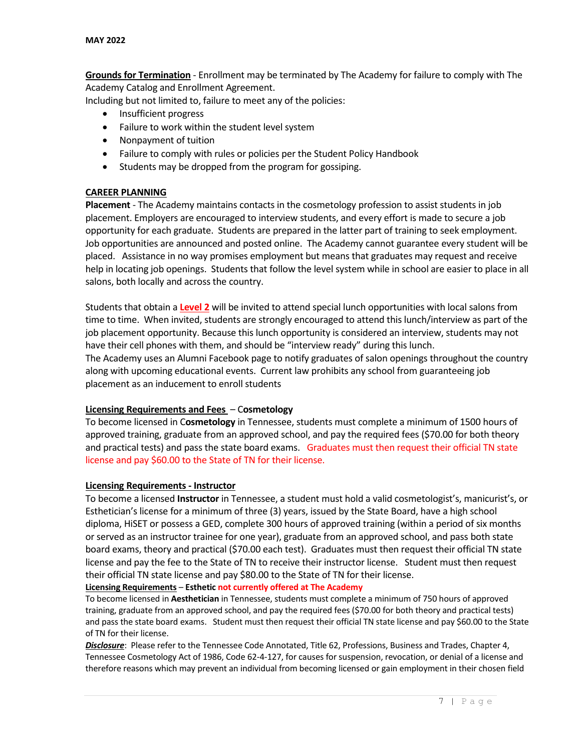**Grounds for Termination** - Enrollment may be terminated by The Academy for failure to comply with The Academy Catalog and Enrollment Agreement.

Including but not limited to, failure to meet any of the policies:

- Insufficient progress
- Failure to work within the student level system
- Nonpayment of tuition
- Failure to comply with rules or policies per the Student Policy Handbook
- Students may be dropped from the program for gossiping.

#### **CAREER PLANNING**

**Placement** - The Academy maintains contacts in the cosmetology profession to assist students in job placement. Employers are encouraged to interview students, and every effort is made to secure a job opportunity for each graduate. Students are prepared in the latter part of training to seek employment. Job opportunities are announced and posted online. The Academy cannot guarantee every student will be placed. Assistance in no way promises employment but means that graduates may request and receive help in locating job openings. Students that follow the level system while in school are easier to place in all salons, both locally and across the country.

Students that obtain a **Level 2** will be invited to attend special lunch opportunities with local salons from time to time. When invited, students are strongly encouraged to attend this lunch/interview as part of the job placement opportunity. Because this lunch opportunity is considered an interview, students may not have their cell phones with them, and should be "interview ready" during this lunch. The Academy uses an Alumni Facebook page to notify graduates of salon openings throughout the country along with upcoming educational events. Current law prohibits any school from guaranteeing job placement as an inducement to enroll students

#### **Licensing Requirements and Fees** – C**osmetology**

To become licensed in C**osmetology** in Tennessee, students must complete a minimum of 1500 hours of approved training, graduate from an approved school, and pay the required fees (\$70.00 for both theory and practical tests) and pass the state board exams. Graduates must then request their official TN state license and pay \$60.00 to the State of TN for their license.

#### **Licensing Requirements - Instructor**

To become a licensed **Instructor** in Tennessee, a student must hold a valid cosmetologist's, manicurist's, or Esthetician's license for a minimum of three (3) years, issued by the State Board, have a high school diploma, HiSET or possess a GED, complete 300 hours of approved training (within a period of six months or served as an instructor trainee for one year), graduate from an approved school, and pass both state board exams, theory and practical (\$70.00 each test). Graduates must then request their official TN state license and pay the fee to the State of TN to receive their instructor license. Student must then request their official TN state license and pay \$80.00 to the State of TN for their license.

#### **Licensing Requirements** – **Esthetic not currently offered at The Academy**

To become licensed in **Aesthetician** in Tennessee, students must complete a minimum of 750 hours of approved training, graduate from an approved school, and pay the required fees (\$70.00 for both theory and practical tests) and pass the state board exams. Student must then request their official TN state license and pay \$60.00 to the State of TN for their license.

*Disclosure*: Please refer to the Tennessee Code Annotated, Title 62, Professions, Business and Trades, Chapter 4, Tennessee Cosmetology Act of 1986, Code 62-4-127, for causes for suspension, revocation, or denial of a license and therefore reasons which may prevent an individual from becoming licensed or gain employment in their chosen field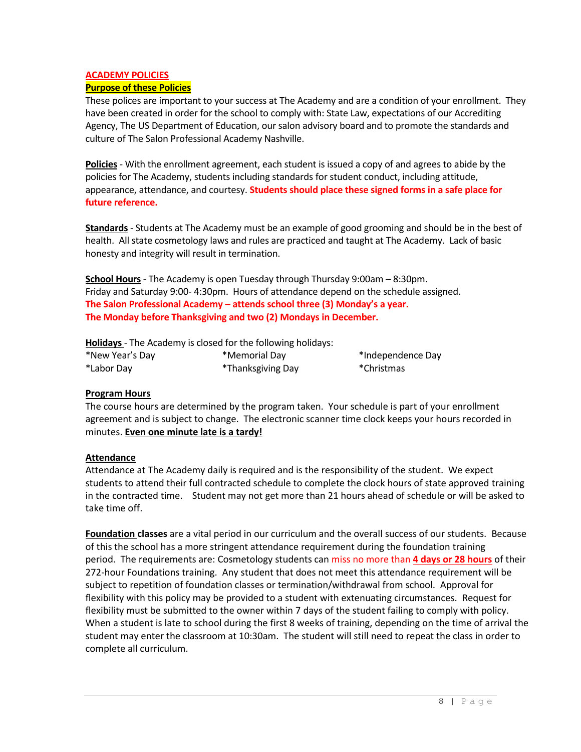# **ACADEMY POLICIES**

### **Purpose of these Policies**

These polices are important to your success at The Academy and are a condition of your enrollment. They have been created in order for the school to comply with: State Law, expectations of our Accrediting Agency, The US Department of Education, our salon advisory board and to promote the standards and culture of The Salon Professional Academy Nashville.

**Policies** - With the enrollment agreement, each student is issued a copy of and agrees to abide by the policies for The Academy, students including standards for student conduct, including attitude, appearance, attendance, and courtesy. **Students should place these signed forms in a safe place for future reference.**

**Standards** - Students at The Academy must be an example of good grooming and should be in the best of health. All state cosmetology laws and rules are practiced and taught at The Academy. Lack of basic honesty and integrity will result in termination.

**School Hours** - The Academy is open Tuesday through Thursday 9:00am – 8:30pm. Friday and Saturday 9:00- 4:30pm. Hours of attendance depend on the schedule assigned. **The Salon Professional Academy – attends school three (3) Monday's a year. The Monday before Thanksgiving and two (2) Mondays in December.**

**Holidays** - The Academy is closed for the following holidays:

| *New Year's Day | *Memorial Day     |
|-----------------|-------------------|
| *Labor Day      | *Thanksgiving Day |

\*Independence Day \*Christmas

# **Program Hours**

The course hours are determined by the program taken. Your schedule is part of your enrollment agreement and is subject to change. The electronic scanner time clock keeps your hours recorded in minutes. **Even one minute late is a tardy!**

#### **Attendance**

Attendance at The Academy daily is required and is the responsibility of the student. We expect students to attend their full contracted schedule to complete the clock hours of state approved training in the contracted time. Student may not get more than 21 hours ahead of schedule or will be asked to take time off.

**Foundation classes** are a vital period in our curriculum and the overall success of our students. Because of this the school has a more stringent attendance requirement during the foundation training period. The requirements are: Cosmetology students can miss no more than **4 days or 28 hours** of their 272-hour Foundations training. Any student that does not meet this attendance requirement will be subject to repetition of foundation classes or termination/withdrawal from school. Approval for flexibility with this policy may be provided to a student with extenuating circumstances. Request for flexibility must be submitted to the owner within 7 days of the student failing to comply with policy. When a student is late to school during the first 8 weeks of training, depending on the time of arrival the student may enter the classroom at 10:30am. The student will still need to repeat the class in order to complete all curriculum.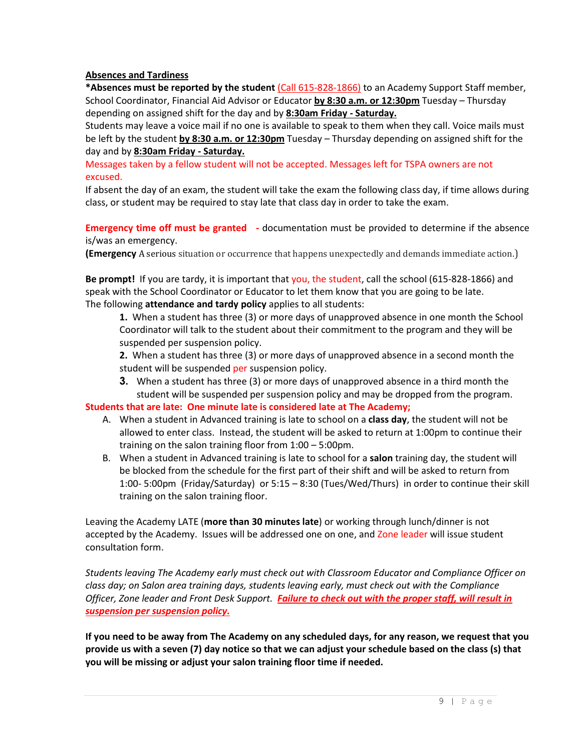# **Absences and Tardiness**

**\*Absences must be reported by the student** (Call 615-828-1866) to an Academy Support Staff member, School Coordinator, Financial Aid Advisor or Educator **by 8:30 a.m. or 12:30pm** Tuesday – Thursday depending on assigned shift for the day and by **8:30am Friday - Saturday.**

Students may leave a voice mail if no one is available to speak to them when they call. Voice mails must be left by the student **by 8:30 a.m. or 12:30pm** Tuesday – Thursday depending on assigned shift for the day and by **8:30am Friday - Saturday.**

Messages taken by a fellow student will not be accepted. Messages left for TSPA owners are not excused.

If absent the day of an exam, the student will take the exam the following class day, if time allows during class, or student may be required to stay late that class day in order to take the exam.

**Emergency time off must be granted -** documentation must be provided to determine if the absence is/was an emergency.

**(Emergency** A serious situation or occurrence that happens unexpectedly and demands immediate action.)

**Be prompt!** If you are tardy, it is important that you, the student, call the school (615-828-1866) and speak with the School Coordinator or Educator to let them know that you are going to be late. The following **attendance and tardy policy** applies to all students:

**1.** When a student has three (3) or more days of unapproved absence in one month the School Coordinator will talk to the student about their commitment to the program and they will be suspended per suspension policy.

**2.** When a student has three (3) or more days of unapproved absence in a second month the student will be suspended per suspension policy.

**3.** When a student has three (3) or more days of unapproved absence in a third month the student will be suspended per suspension policy and may be dropped from the program.

**Students that are late: One minute late is considered late at The Academy;**

- A. When a student in Advanced training is late to school on a **class day**, the student will not be allowed to enter class. Instead, the student will be asked to return at 1:00pm to continue their training on the salon training floor from 1:00 – 5:00pm.
- B. When a student in Advanced training is late to school for a **salon** training day, the student will be blocked from the schedule for the first part of their shift and will be asked to return from 1:00- 5:00pm (Friday/Saturday) or 5:15 – 8:30 (Tues/Wed/Thurs) in order to continue their skill training on the salon training floor.

Leaving the Academy LATE (**more than 30 minutes late**) or working through lunch/dinner is not accepted by the Academy. Issues will be addressed one on one, and Zone leader will issue student consultation form.

*Students leaving The Academy early must check out with Classroom Educator and Compliance Officer on class day; on Salon area training days, students leaving early, must check out with the Compliance Officer, Zone leader and Front Desk Support. Failure to check out with the proper staff, will result in suspension per suspension policy.*

**If you need to be away from The Academy on any scheduled days, for any reason, we request that you provide us with a seven (7) day notice so that we can adjust your schedule based on the class (s) that you will be missing or adjust your salon training floor time if needed.**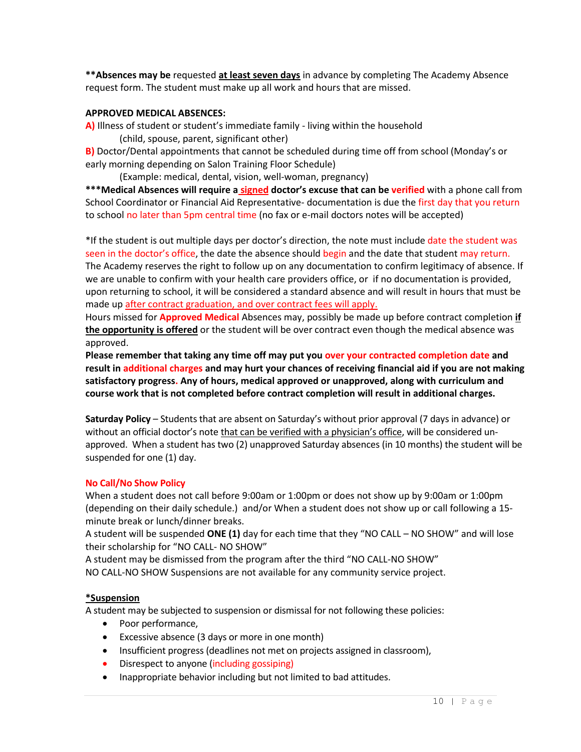**\*\*Absences may be** requested **at least seven days** in advance by completing The Academy Absence request form. The student must make up all work and hours that are missed.

#### **APPROVED MEDICAL ABSENCES:**

**A)** Illness of student or student's immediate family - living within the household (child, spouse, parent, significant other)

**B)** Doctor/Dental appointments that cannot be scheduled during time off from school (Monday's or early morning depending on Salon Training Floor Schedule)

(Example: medical, dental, vision, well-woman, pregnancy)

**\*\*\*Medical Absences will require a signed doctor's excuse that can be verified** with a phone call from School Coordinator or Financial Aid Representative- documentation is due the first day that you return to school no later than 5pm central time (no fax or e-mail doctors notes will be accepted)

\*If the student is out multiple days per doctor's direction, the note must include date the student was seen in the doctor's office, the date the absence should begin and the date that student may return. The Academy reserves the right to follow up on any documentation to confirm legitimacy of absence. If we are unable to confirm with your health care providers office, or if no documentation is provided, upon returning to school, it will be considered a standard absence and will result in hours that must be made up after contract graduation, and over contract fees will apply.

Hours missed for **Approved Medical** Absences may, possibly be made up before contract completion **if the opportunity is offered** or the student will be over contract even though the medical absence was approved.

**Please remember that taking any time off may put you over your contracted completion date and result in additional charges and may hurt your chances of receiving financial aid if you are not making satisfactory progress. Any of hours, medical approved or unapproved, along with curriculum and course work that is not completed before contract completion will result in additional charges.**

**Saturday Policy** – Students that are absent on Saturday's without prior approval (7 days in advance) or without an official doctor's note that can be verified with a physician's office, will be considered unapproved. When a student has two (2) unapproved Saturday absences (in 10 months) the student will be suspended for one (1) day.

#### **No Call/No Show Policy**

When a student does not call before 9:00am or 1:00pm or does not show up by 9:00am or 1:00pm (depending on their daily schedule.) and/or When a student does not show up or call following a 15 minute break or lunch/dinner breaks.

A student will be suspended **ONE (1)** day for each time that they "NO CALL – NO SHOW" and will lose their scholarship for "NO CALL- NO SHOW"

A student may be dismissed from the program after the third "NO CALL-NO SHOW"

NO CALL-NO SHOW Suspensions are not available for any community service project.

#### **\*Suspension**

A student may be subjected to suspension or dismissal for not following these policies:

- Poor performance,
- Excessive absence (3 days or more in one month)
- Insufficient progress (deadlines not met on projects assigned in classroom),
- Disrespect to anyone (including gossiping)
- Inappropriate behavior including but not limited to bad attitudes.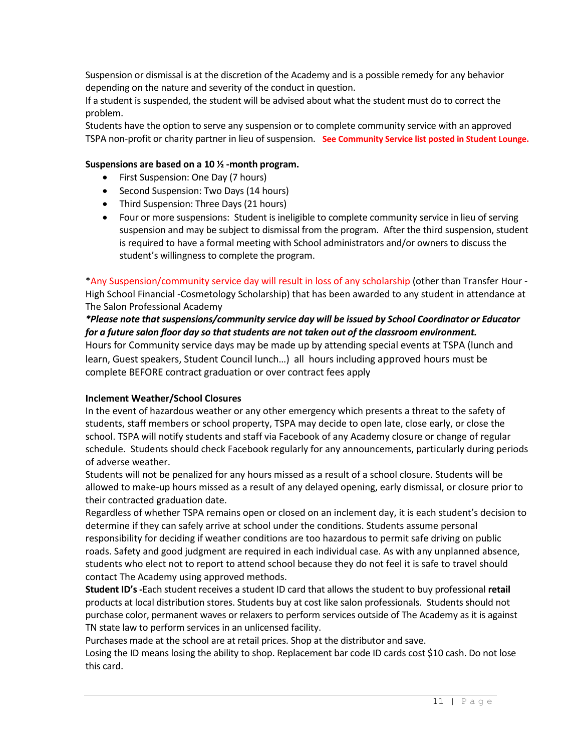Suspension or dismissal is at the discretion of the Academy and is a possible remedy for any behavior depending on the nature and severity of the conduct in question.

If a student is suspended, the student will be advised about what the student must do to correct the problem.

Students have the option to serve any suspension or to complete community service with an approved TSPA non-profit or charity partner in lieu of suspension. **See Community Service list posted in Student Lounge.**

# **Suspensions are based on a 10 ½ -month program.**

- First Suspension: One Day (7 hours)
- Second Suspension: Two Days (14 hours)
- Third Suspension: Three Days (21 hours)
- Four or more suspensions: Student is ineligible to complete community service in lieu of serving suspension and may be subject to dismissal from the program. After the third suspension, student is required to have a formal meeting with School administrators and/or owners to discuss the student's willingness to complete the program.

\*Any Suspension/community service day will result in loss of any scholarship (other than Transfer Hour - High School Financial -Cosmetology Scholarship) that has been awarded to any student in attendance at The Salon Professional Academy

# *\*Please note that suspensions/community service day will be issued by School Coordinator or Educator for a future salon floor day so that students are not taken out of the classroom environment.*

Hours for Community service days may be made up by attending special events at TSPA (lunch and learn, Guest speakers, Student Council lunch…) all hours including approved hours must be complete BEFORE contract graduation or over contract fees apply

#### **Inclement Weather/School Closures**

In the event of hazardous weather or any other emergency which presents a threat to the safety of students, staff members or school property, TSPA may decide to open late, close early, or close the school. TSPA will notify students and staff via Facebook of any Academy closure or change of regular schedule. Students should check Facebook regularly for any announcements, particularly during periods of adverse weather.

Students will not be penalized for any hours missed as a result of a school closure. Students will be allowed to make-up hours missed as a result of any delayed opening, early dismissal, or closure prior to their contracted graduation date.

Regardless of whether TSPA remains open or closed on an inclement day, it is each student's decision to determine if they can safely arrive at school under the conditions. Students assume personal responsibility for deciding if weather conditions are too hazardous to permit safe driving on public roads. Safety and good judgment are required in each individual case. As with any unplanned absence, students who elect not to report to attend school because they do not feel it is safe to travel should contact The Academy using approved methods.

**Student ID's -**Each student receives a student ID card that allows the student to buy professional **retail** products at local distribution stores. Students buy at cost like salon professionals. Students should not purchase color, permanent waves or relaxers to perform services outside of The Academy as it is against TN state law to perform services in an unlicensed facility.

Purchases made at the school are at retail prices. Shop at the distributor and save. Losing the ID means losing the ability to shop. Replacement bar code ID cards cost \$10 cash. Do not lose this card.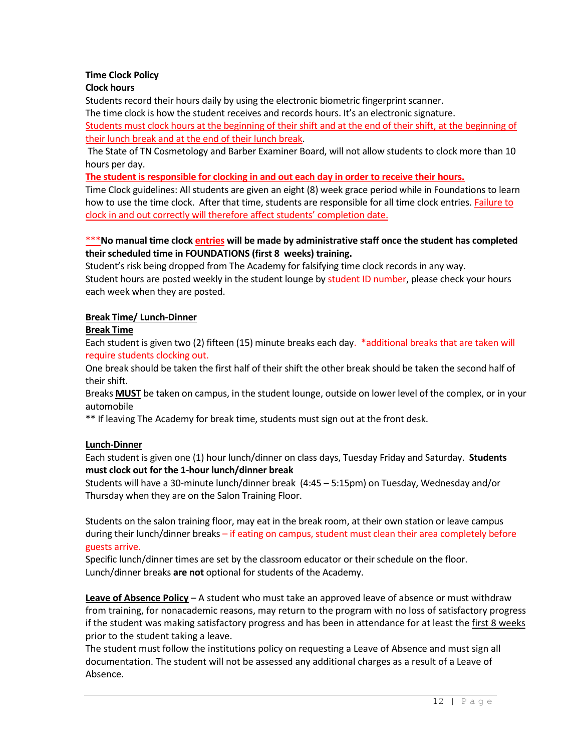# **Time Clock Policy**

# **Clock hours**

Students record their hours daily by using the electronic biometric fingerprint scanner.

The time clock is how the student receives and records hours. It's an electronic signature.

Students must clock hours at the beginning of their shift and at the end of their shift, at the beginning of their lunch break and at the end of their lunch break.

The State of TN Cosmetology and Barber Examiner Board, will not allow students to clock more than 10 hours per day.

**The student is responsible for clocking in and out each day in order to receive their hours.**

Time Clock guidelines: All students are given an eight (8) week grace period while in Foundations to learn how to use the time clock. After that time, students are responsible for all time clock entries. Failure to clock in and out correctly will therefore affect students' completion date.

# \*\*\***No manual time clock entries will be made by administrative staff once the student has completed their scheduled time in FOUNDATIONS (first 8 weeks) training.**

Student's risk being dropped from The Academy for falsifying time clock records in any way. Student hours are posted weekly in the student lounge by student ID number, please check your hours each week when they are posted.

## **Break Time/ Lunch-Dinner**

## **Break Time**

Each student is given two (2) fifteen (15) minute breaks each day. \*additional breaks that are taken will require students clocking out.

One break should be taken the first half of their shift the other break should be taken the second half of their shift.

Breaks **MUST** be taken on campus, in the student lounge, outside on lower level of the complex, or in your automobile

\*\* If leaving The Academy for break time, students must sign out at the front desk.

# **Lunch-Dinner**

Each student is given one (1) hour lunch/dinner on class days, Tuesday Friday and Saturday. **Students must clock out for the 1-hour lunch/dinner break**

Students will have a 30-minute lunch/dinner break (4:45 – 5:15pm) on Tuesday, Wednesday and/or Thursday when they are on the Salon Training Floor.

Students on the salon training floor, may eat in the break room, at their own station or leave campus during their lunch/dinner breaks – if eating on campus, student must clean their area completely before guests arrive.

Specific lunch/dinner times are set by the classroom educator or their schedule on the floor. Lunch/dinner breaks **are not** optional for students of the Academy.

**Leave of Absence Policy** – A student who must take an approved leave of absence or must withdraw from training, for nonacademic reasons, may return to the program with no loss of satisfactory progress if the student was making satisfactory progress and has been in attendance for at least the first 8 weeks prior to the student taking a leave.

The student must follow the institutions policy on requesting a Leave of Absence and must sign all documentation. The student will not be assessed any additional charges as a result of a Leave of Absence.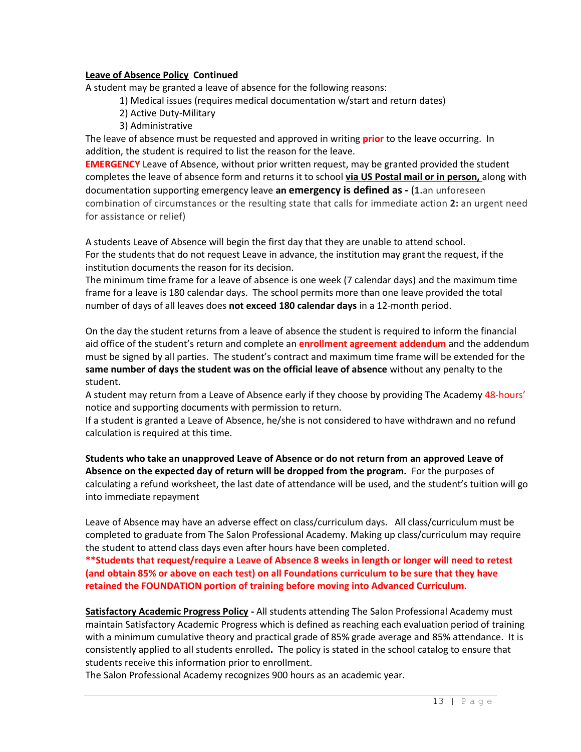#### **Leave of Absence Policy Continued**

A student may be granted a leave of absence for the following reasons:

1) Medical issues (requires medical documentation w/start and return dates)

- 2) Active Duty-Military
- 3) Administrative

The leave of absence must be requested and approved in writing **prior** to the leave occurring. In addition, the student is required to list the reason for the leave.

**EMERGENCY** Leave of Absence, without prior written request, may be granted provided the student completes the leave of absence form and returns it to school **via US Postal mail or in person,** along with documentation supporting emergency leave **an emergency is defined as -** (**1.**an unforeseen combination of circumstances or the resulting state that calls for immediate action **2:** an urgent need for assistance or relief)

A students Leave of Absence will begin the first day that they are unable to attend school. For the students that do not request Leave in advance, the institution may grant the request, if the institution documents the reason for its decision.

The minimum time frame for a leave of absence is one week (7 calendar days) and the maximum time frame for a leave is 180 calendar days. The school permits more than one leave provided the total number of days of all leaves does **not exceed 180 calendar days** in a 12-month period.

On the day the student returns from a leave of absence the student is required to inform the financial aid office of the student's return and complete an **enrollment agreement addendum** and the addendum must be signed by all parties. The student's contract and maximum time frame will be extended for the **same number of days the student was on the official leave of absence** without any penalty to the student.

A student may return from a Leave of Absence early if they choose by providing The Academy 48-hours' notice and supporting documents with permission to return.

If a student is granted a Leave of Absence, he/she is not considered to have withdrawn and no refund calculation is required at this time.

**Students who take an unapproved Leave of Absence or do not return from an approved Leave of Absence on the expected day of return will be dropped from the program.** For the purposes of calculating a refund worksheet, the last date of attendance will be used, and the student's tuition will go into immediate repayment

Leave of Absence may have an adverse effect on class/curriculum days. All class/curriculum must be completed to graduate from The Salon Professional Academy. Making up class/curriculum may require the student to attend class days even after hours have been completed.

**\*\*Students that request/require a Leave of Absence 8 weeks in length or longer will need to retest (and obtain 85% or above on each test) on all Foundations curriculum to be sure that they have retained the FOUNDATION portion of training before moving into Advanced Curriculum.** 

**Satisfactory Academic Progress Policy -** All students attending The Salon Professional Academy must maintain Satisfactory Academic Progress which is defined as reaching each evaluation period of training with a minimum cumulative theory and practical grade of 85% grade average and 85% attendance. It is consistently applied to all students enrolled**.** The policy is stated in the school catalog to ensure that students receive this information prior to enrollment.

The Salon Professional Academy recognizes 900 hours as an academic year.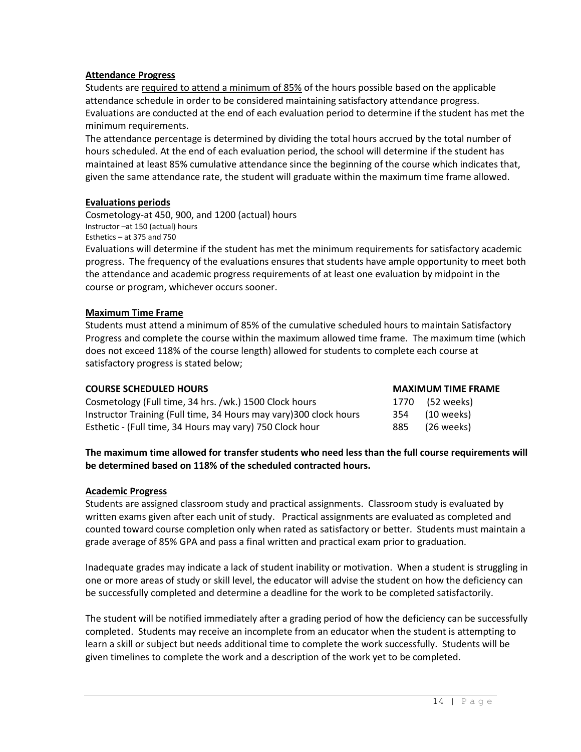#### **Attendance Progress**

Students are required to attend a minimum of 85% of the hours possible based on the applicable attendance schedule in order to be considered maintaining satisfactory attendance progress. Evaluations are conducted at the end of each evaluation period to determine if the student has met the minimum requirements.

The attendance percentage is determined by dividing the total hours accrued by the total number of hours scheduled. At the end of each evaluation period, the school will determine if the student has maintained at least 85% cumulative attendance since the beginning of the course which indicates that, given the same attendance rate, the student will graduate within the maximum time frame allowed.

## **Evaluations periods**

Cosmetology-at 450, 900, and 1200 (actual) hours Instructor –at 150 (actual) hours Esthetics – at 375 and 750

Evaluations will determine if the student has met the minimum requirements for satisfactory academic progress. The frequency of the evaluations ensures that students have ample opportunity to meet both the attendance and academic progress requirements of at least one evaluation by midpoint in the course or program, whichever occurs sooner.

## **Maximum Time Frame**

Students must attend a minimum of 85% of the cumulative scheduled hours to maintain Satisfactory Progress and complete the course within the maximum allowed time frame. The maximum time (which does not exceed 118% of the course length) allowed for students to complete each course at satisfactory progress is stated below;

| <b>COURSE SCHEDULED HOURS</b>                                      | <b>MAXIMUM TIME FRAME</b> |
|--------------------------------------------------------------------|---------------------------|
| Cosmetology (Full time, 34 hrs. /wk.) 1500 Clock hours             | 1770 (52 weeks)           |
| Instructor Training (Full time, 34 Hours may vary) 300 clock hours | 354 (10 weeks)            |
| Esthetic - (Full time, 34 Hours may vary) 750 Clock hour           | 885 (26 weeks)            |

## **The maximum time allowed for transfer students who need less than the full course requirements will be determined based on 118% of the scheduled contracted hours.**

#### **Academic Progress**

Students are assigned classroom study and practical assignments. Classroom study is evaluated by written exams given after each unit of study. Practical assignments are evaluated as completed and counted toward course completion only when rated as satisfactory or better. Students must maintain a grade average of 85% GPA and pass a final written and practical exam prior to graduation.

Inadequate grades may indicate a lack of student inability or motivation. When a student is struggling in one or more areas of study or skill level, the educator will advise the student on how the deficiency can be successfully completed and determine a deadline for the work to be completed satisfactorily.

The student will be notified immediately after a grading period of how the deficiency can be successfully completed. Students may receive an incomplete from an educator when the student is attempting to learn a skill or subject but needs additional time to complete the work successfully. Students will be given timelines to complete the work and a description of the work yet to be completed.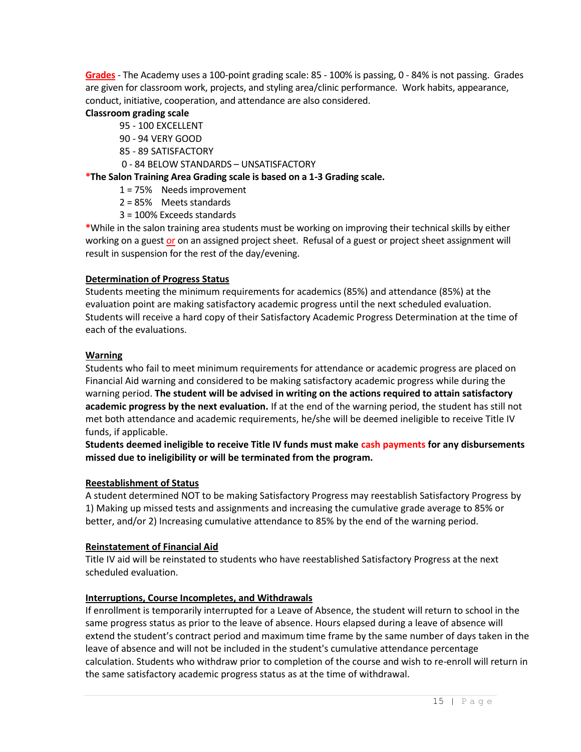**Grades** - The Academy uses a 100-point grading scale: 85 - 100% is passing, 0 - 84% is not passing. Grades are given for classroom work, projects, and styling area/clinic performance. Work habits, appearance, conduct, initiative, cooperation, and attendance are also considered.

## **Classroom grading scale**

- 95 100 EXCELLENT
- 90 94 VERY GOOD
- 85 89 SATISFACTORY
- 0 84 BELOW STANDARDS UNSATISFACTORY

# **\*The Salon Training Area Grading scale is based on a 1-3 Grading scale.**

- 1 = 75% Needs improvement
- 2 = 85% Meets standards
- 3 = 100% Exceeds standards

**\***While in the salon training area students must be working on improving their technical skills by either working on a guest or on an assigned project sheet. Refusal of a guest or project sheet assignment will result in suspension for the rest of the day/evening.

# **Determination of Progress Status**

Students meeting the minimum requirements for academics (85%) and attendance (85%) at the evaluation point are making satisfactory academic progress until the next scheduled evaluation. Students will receive a hard copy of their Satisfactory Academic Progress Determination at the time of each of the evaluations.

## **Warning**

Students who fail to meet minimum requirements for attendance or academic progress are placed on Financial Aid warning and considered to be making satisfactory academic progress while during the warning period. **The student will be advised in writing on the actions required to attain satisfactory academic progress by the next evaluation.** If at the end of the warning period, the student has still not met both attendance and academic requirements, he/she will be deemed ineligible to receive Title IV funds, if applicable.

**Students deemed ineligible to receive Title IV funds must make cash payments for any disbursements missed due to ineligibility or will be terminated from the program.**

# **Reestablishment of Status**

A student determined NOT to be making Satisfactory Progress may reestablish Satisfactory Progress by 1) Making up missed tests and assignments and increasing the cumulative grade average to 85% or better, and/or 2) Increasing cumulative attendance to 85% by the end of the warning period.

# **Reinstatement of Financial Aid**

Title IV aid will be reinstated to students who have reestablished Satisfactory Progress at the next scheduled evaluation.

# **Interruptions, Course Incompletes, and Withdrawals**

If enrollment is temporarily interrupted for a Leave of Absence, the student will return to school in the same progress status as prior to the leave of absence. Hours elapsed during a leave of absence will extend the student's contract period and maximum time frame by the same number of days taken in the leave of absence and will not be included in the student's cumulative attendance percentage calculation. Students who withdraw prior to completion of the course and wish to re-enroll will return in the same satisfactory academic progress status as at the time of withdrawal.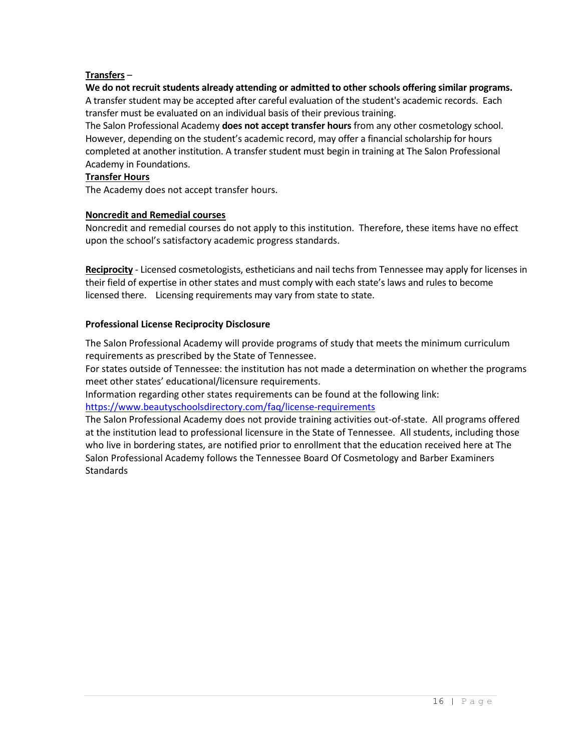# **Transfers** –

#### **We do not recruit students already attending or admitted to other schools offering similar programs.** A transfer student may be accepted after careful evaluation of the student's academic records. Each transfer must be evaluated on an individual basis of their previous training.

The Salon Professional Academy **does not accept transfer hours** from any other cosmetology school. However, depending on the student's academic record, may offer a financial scholarship for hours completed at another institution. A transfer student must begin in training at The Salon Professional Academy in Foundations.

#### **Transfer Hours**

The Academy does not accept transfer hours.

#### **Noncredit and Remedial courses**

Noncredit and remedial courses do not apply to this institution. Therefore, these items have no effect upon the school's satisfactory academic progress standards.

**Reciprocity** - Licensed cosmetologists, estheticians and nail techs from Tennessee may apply for licenses in their field of expertise in other states and must comply with each state's laws and rules to become licensed there. Licensing requirements may vary from state to state.

#### **Professional License Reciprocity Disclosure**

The Salon Professional Academy will provide programs of study that meets the minimum curriculum requirements as prescribed by the State of Tennessee.

For states outside of Tennessee: the institution has not made a determination on whether the programs meet other states' educational/licensure requirements.

Information regarding other states requirements can be found at the following link:

<https://www.beautyschoolsdirectory.com/faq/license-requirements>

The Salon Professional Academy does not provide training activities out-of-state. All programs offered at the institution lead to professional licensure in the State of Tennessee. All students, including those who live in bordering states, are notified prior to enrollment that the education received here at The Salon Professional Academy follows the Tennessee Board Of Cosmetology and Barber Examiners **Standards**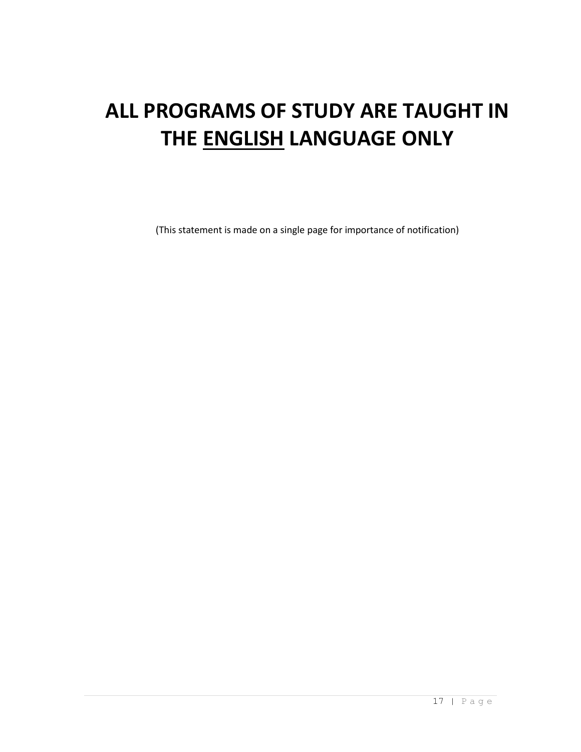# **ALL PROGRAMS OF STUDY ARE TAUGHT IN THE ENGLISH LANGUAGE ONLY**

(This statement is made on a single page for importance of notification)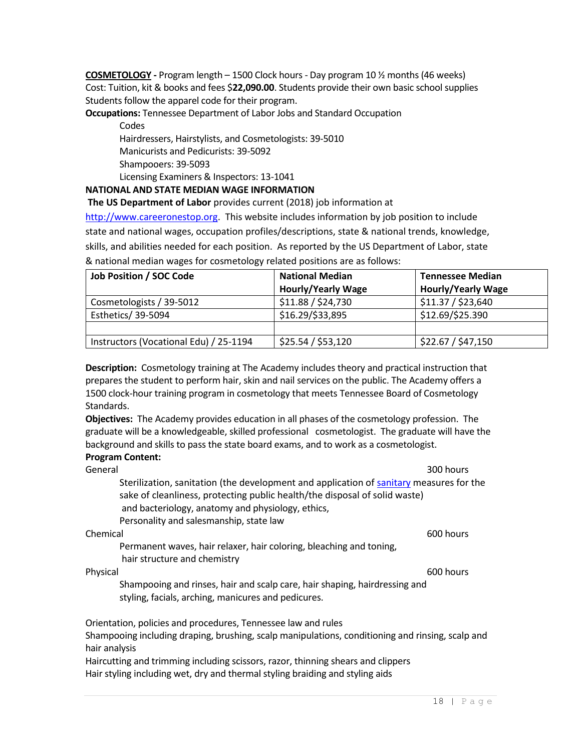**COSMETOLOGY -** Program length – 1500 Clock hours - Day program 10 ½ months(46 weeks) Cost: Tuition, kit & books and fees \$**22,090.00**. Students provide their own basic school supplies Students follow the apparel code for their program.

**Occupations:** Tennessee Department of Labor Jobs and Standard Occupation

**Codes** Hairdressers, Hairstylists, and Cosmetologists: 39-5010 Manicurists and Pedicurists: 39-5092 Shampooers: 39-5093 Licensing Examiners & Inspectors: 13-1041

## **NATIONAL AND STATE MEDIAN WAGE INFORMATION**

**The US Department of Labor** provides current (2018) job information at

[http://www.careeronestop.org.](http://www.careeronestop.org/) This website includes information by job position to include state and national wages, occupation profiles/descriptions, state & national trends, knowledge, skills, and abilities needed for each position. As reported by the US Department of Labor, state & national median wages for cosmetology related positions are as follows:

| <b>Job Position / SOC Code</b>         | <b>National Median</b>    | <b>Tennessee Median</b>   |
|----------------------------------------|---------------------------|---------------------------|
|                                        | <b>Hourly/Yearly Wage</b> | <b>Hourly/Yearly Wage</b> |
| Cosmetologists / 39-5012               | \$11.88 / \$24,730        | \$11.37 / \$23,640        |
| Esthetics/ 39-5094                     | \$16.29/\$33,895          | \$12.69/\$25.390          |
|                                        |                           |                           |
| Instructors (Vocational Edu) / 25-1194 | \$25.54 / \$53,120        | \$22.67 / \$47,150        |

**Description:** Cosmetology training at The Academy includes theory and practical instruction that prepares the student to perform hair, skin and nail services on the public. The Academy offers a 1500 clock-hour training program in cosmetology that meets Tennessee Board of Cosmetology Standards.

**Objectives:** The Academy provides education in all phases of the cosmetology profession. The graduate will be a knowledgeable, skilled professional cosmetologist. The graduate will have the background and skills to pass the state board exams, and to work as a cosmetologist. **Program Content:** 

| Program Content.                                                                                                                                                                                                                                                      |           |
|-----------------------------------------------------------------------------------------------------------------------------------------------------------------------------------------------------------------------------------------------------------------------|-----------|
| General                                                                                                                                                                                                                                                               | 300 hours |
| Sterilization, sanitation (the development and application of sanitary measures for the<br>sake of cleanliness, protecting public health/the disposal of solid waste)<br>and bacteriology, anatomy and physiology, ethics,<br>Personality and salesmanship, state law |           |
| Chemical                                                                                                                                                                                                                                                              | 600 hours |
| Permanent waves, hair relaxer, hair coloring, bleaching and toning,<br>hair structure and chemistry                                                                                                                                                                   |           |
| Physical                                                                                                                                                                                                                                                              | 600 hours |
| Shampooing and rinses, hair and scalp care, hair shaping, hairdressing and<br>styling, facials, arching, manicures and pedicures.                                                                                                                                     |           |
| Orientation, policies and procedures, Tennessee law and rules<br>Shampooing including draping, brushing, scalp manipulations, conditioning and rinsing, scalp and                                                                                                     |           |

hair analysis

Haircutting and trimming including scissors, razor, thinning shears and clippers Hair styling including wet, dry and thermal styling braiding and styling aids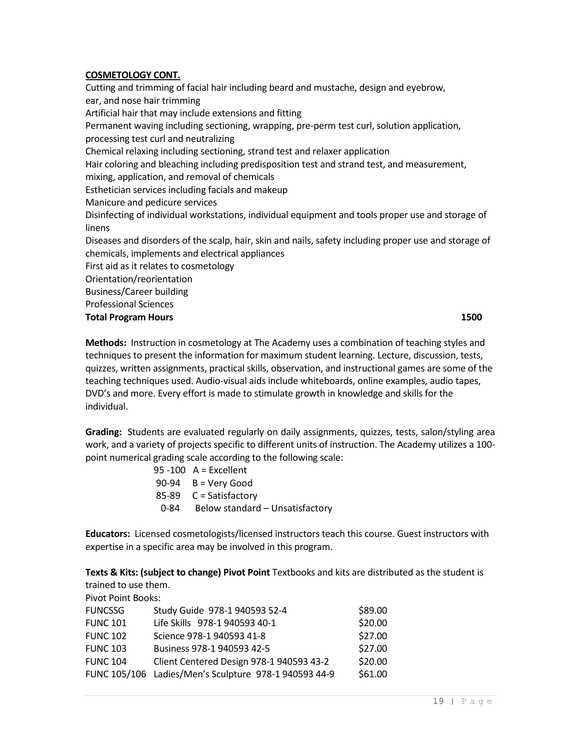### **COSMETOLOGY CONT.**

Cutting and trimming of facial hair including beard and mustache, design and eyebrow, ear, and nose hair trimming Artificial hair that may include extensions and fitting Permanent waving including sectioning, wrapping, pre-perm test curl, solution application, processing test curl and neutralizing Chemical relaxing including sectioning, strand test and relaxer application Hair coloring and bleaching including predisposition test and strand test, and measurement, mixing, application, and removal of chemicals Esthetician services including facials and makeup Manicure and pedicure services Disinfecting of individual workstations, individual equipment and tools proper use and storage of linens Diseases and disorders of the scalp, hair, skin and nails, safety including proper use and storage of chemicals, implements and electrical appliances First aid as it relates to cosmetology Orientation/reorientation Business/Career building Professional Sciences **Total Program Hours 1500** 

**Methods:** Instruction in cosmetology at The Academy uses a combination of teaching styles and techniques to present the information for maximum student learning. Lecture, discussion, tests, quizzes, written assignments, practical skills, observation, and instructional games are some of the teaching techniques used. Audio-visual aids include whiteboards, online examples, audio tapes, DVD's and more. Every effort is made to stimulate growth in knowledge and skills for the individual.

**Grading:** Students are evaluated regularly on daily assignments, quizzes, tests, salon/styling area work, and a variety of projects specific to different units of instruction. The Academy utilizes a 100 point numerical grading scale according to the following scale:

| $95 - 100$ A = Excellent             |
|--------------------------------------|
| $90-94$ B = Very Good                |
| $85-89$ C = Satisfactory             |
| 0-84 Below standard - Unsatisfactory |

**Educators:** Licensed cosmetologists/licensed instructors teach this course. Guest instructors with expertise in a specific area may be involved in this program.

**Texts & Kits: (subject to change) Pivot Point** Textbooks and kits are distributed as the student is trained to use them.

Pivot Point Books:

| <b>FUNCSSG</b>  | Study Guide 978-1 940593 52-4                         | \$89.00 |
|-----------------|-------------------------------------------------------|---------|
| <b>FUNC 101</b> | Life Skills 978-1 940593 40-1                         | \$20.00 |
| <b>FUNC 102</b> | Science 978-1 940593 41-8                             | \$27.00 |
| <b>FUNC 103</b> | Business 978-1 940593 42-5                            | \$27.00 |
| <b>FUNC 104</b> | Client Centered Design 978-1 940593 43-2              | \$20.00 |
|                 | FUNC 105/106 Ladies/Men's Sculpture 978-1 940593 44-9 | \$61.00 |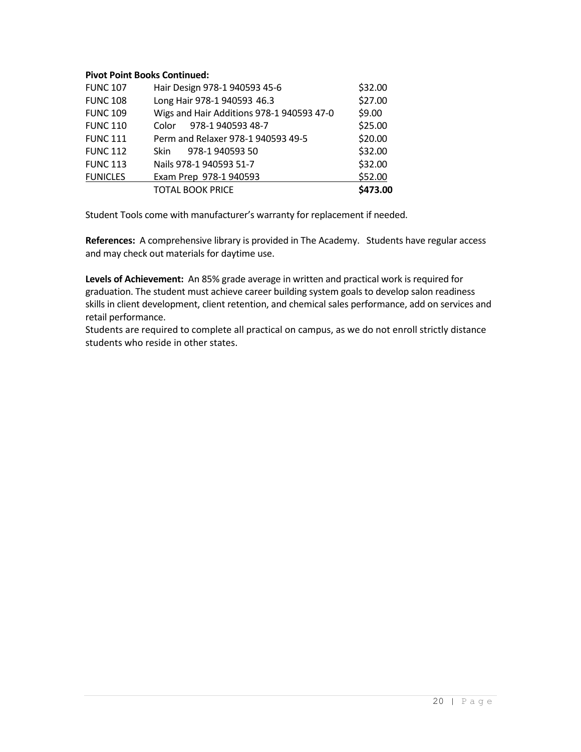# **Pivot Point Books Continued:**

| <b>FUNC 107</b> | Hair Design 978-1 940593 45-6             | \$32.00  |
|-----------------|-------------------------------------------|----------|
| <b>FUNC 108</b> | Long Hair 978-1 940593 46.3               | \$27.00  |
| <b>FUNC 109</b> | Wigs and Hair Additions 978-1 940593 47-0 | \$9.00   |
| <b>FUNC 110</b> | 978-1 940593 48-7<br>Color                | \$25.00  |
| <b>FUNC 111</b> | Perm and Relaxer 978-1 940593 49-5        | \$20.00  |
| <b>FUNC 112</b> | 978-1 940593 50<br><b>Skin</b>            | \$32.00  |
| <b>FUNC 113</b> | Nails 978-1 940593 51-7                   | \$32.00  |
| <b>FUNICLES</b> | Exam Prep 978-1 940593                    | \$52.00  |
|                 | <b>TOTAL BOOK PRICE</b>                   | \$473.00 |

Student Tools come with manufacturer's warranty for replacement if needed.

**References:** A comprehensive library is provided in The Academy. Students have regular access and may check out materials for daytime use.

**Levels of Achievement:** An 85% grade average in written and practical work is required for graduation. The student must achieve career building system goals to develop salon readiness skills in client development, client retention, and chemical sales performance, add on services and retail performance.

Students are required to complete all practical on campus, as we do not enroll strictly distance students who reside in other states.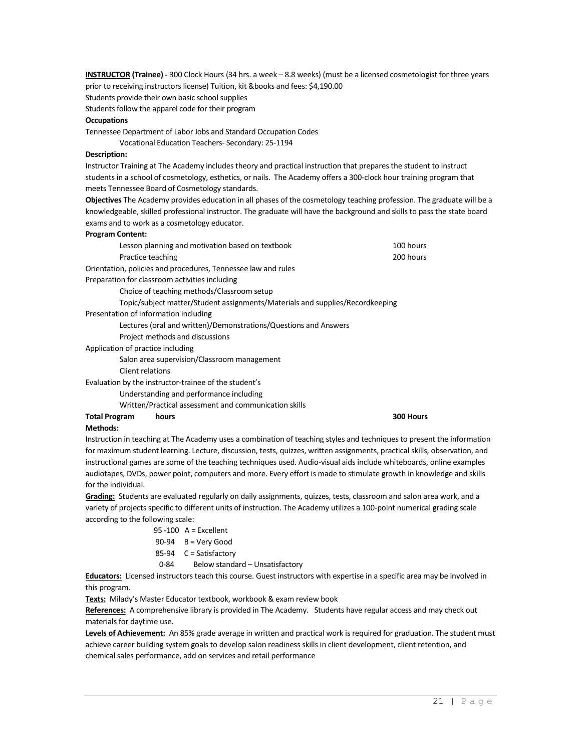**INSTRUCTOR (Trainee) -** 300 Clock Hours (34 hrs. a week – 8.8 weeks) (must be a licensed cosmetologist for three years prior to receiving instructors license) Tuition, kit &books and fees: \$4,190.00 Students provide their own basic school supplies

Students follow the apparel code for their program

#### **Occupations**

Tennessee Department of Labor Jobs and Standard Occupation Codes

Vocational Education Teachers- Secondary: 25-1194

#### **Description:**

Instructor Training at The Academy includes theory and practical instruction that prepares the student to instruct students in a school of cosmetology, esthetics, or nails. The Academy offers a 300-clock hour training program that meets Tennessee Board of Cosmetology standards.

**Objectives** The Academy provides education in all phases of the cosmetology teaching profession. The graduate will be a knowledgeable, skilled professional instructor. The graduate will have the background and skills to pass the state board exams and to work as a cosmetology educator.

#### **Program Content:**

| Lesson planning and motivation based on textbook                              | 100 hours |
|-------------------------------------------------------------------------------|-----------|
| Practice teaching                                                             | 200 hours |
| Orientation, policies and procedures, Tennessee law and rules                 |           |
| Preparation for classroom activities including                                |           |
| Choice of teaching methods/Classroom setup                                    |           |
| Topic/subject matter/Student assignments/Materials and supplies/Recordkeeping |           |
| Presentation of information including                                         |           |
| Lectures (oral and written)/Demonstrations/Questions and Answers              |           |
| Project methods and discussions                                               |           |
| Application of practice including                                             |           |
| Salon area supervision/Classroom management                                   |           |
| Client relations                                                              |           |
| Evaluation by the instructor-trainee of the student's                         |           |
| Understanding and performance including                                       |           |
| Written/Practical assessment and communication skills                         |           |

#### **Total Program hours 300 Hours**

#### **Methods:**

Instruction in teaching at The Academy uses a combination of teaching styles and techniques to present the information for maximum student learning. Lecture, discussion, tests, quizzes, written assignments, practical skills, observation, and instructional games are some of the teaching techniques used. Audio-visual aids include whiteboards, online examples audiotapes, DVDs, power point, computers and more. Every effort is made to stimulate growth in knowledge and skills for the individual.

**Grading:** Students are evaluated regularly on daily assignments, quizzes, tests, classroom and salon area work, and a variety of projects specific to different units of instruction. The Academy utilizes a 100-point numerical grading scale according to the following scale:

- 95 -100 A = Excellent
- 90-94 B = Very Good
- 85-94 C = Satisfactory
	- 0-84 Below standard Unsatisfactory

**Educators:** Licensed instructors teach this course. Guest instructors with expertise in a specific area may be involved in this program.

**Texts:** Milady's Master Educator textbook, workbook & exam review book

**References:** A comprehensive library is provided in The Academy. Students have regular access and may check out materials for daytime use.

**Levels of Achievement:** An 85% grade average in written and practical work is required for graduation. The student must achieve career building system goals to develop salon readiness skills in client development, client retention, and chemical sales performance, add on services and retail performance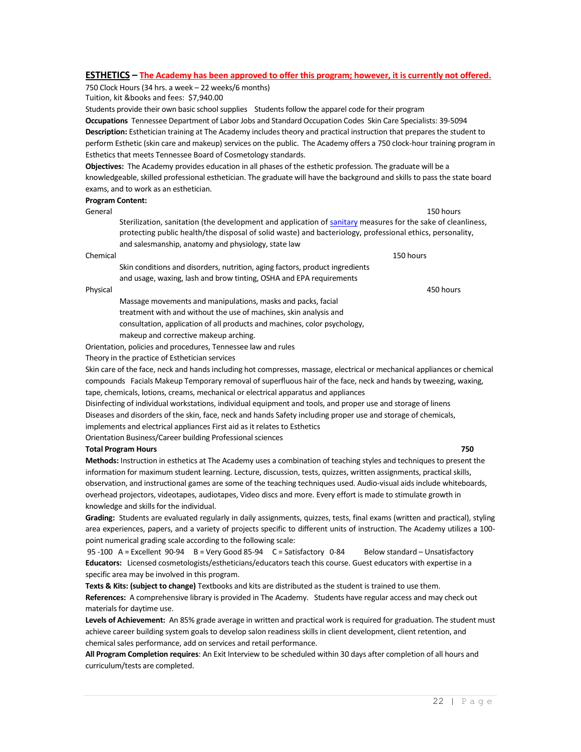#### **ESTHETICS – The Academy has been approved to offer this program; however, it is currently not offered.**

750 Clock Hours (34 hrs. a week – 22 weeks/6 months)

Tuition, kit &books and fees: \$7,940.00

Students provide their own basic school supplies Students follow the apparel code for their program **Occupations** Tennessee Department of Labor Jobs and Standard Occupation Codes Skin Care Specialists: 39-5094 **Description:** Esthetician training at The Academy includes theory and practical instruction that prepares the student to perform Esthetic (skin care and makeup) services on the public. The Academy offers a 750 clock-hour training program in Esthetics that meets Tennessee Board of Cosmetology standards.

**Objectives:** The Academy provides education in all phases of the esthetic profession. The graduate will be a knowledgeable, skilled professional esthetician. The graduate will have the background and skills to pass the state board exams, and to work as an esthetician.

#### **Program Content:**

General 150 hours Sterilization, sanitation (the development and application of [sanitary](http://dictionary.reference.com/browse/sanitary) measures for the sake of cleanliness, protecting public health/the disposal of solid waste) and bacteriology, professional ethics, personality, and salesmanship, anatomy and physiology, state law

#### Chemical 150 hours

Skin conditions and disorders, nutrition, aging factors, product ingredients and usage, waxing, lash and brow tinting, OSHA and EPA requirements

Massage movements and manipulations, masks and packs, facial treatment with and without the use of machines, skin analysis and consultation, application of all products and machines, color psychology, makeup and corrective makeup arching.

Orientation, policies and procedures, Tennessee law and rules

Theory in the practice of Esthetician services

Skin care of the face, neck and hands including hot compresses, massage, electrical or mechanical appliances or chemical compounds Facials Makeup Temporary removal of superfluous hair of the face, neck and hands by tweezing, waxing, tape, chemicals, lotions, creams, mechanical or electrical apparatus and appliances

Disinfecting of individual workstations, individual equipment and tools, and proper use and storage of linens Diseases and disorders of the skin, face, neck and hands Safety including proper use and storage of chemicals, implements and electrical appliances First aid as it relates to Esthetics Orientation Business/Career building Professional sciences

#### **Total Program Hours 750**

**Methods:** Instruction in esthetics at The Academy uses a combination of teaching styles and techniques to present the information for maximum student learning. Lecture, discussion, tests, quizzes, written assignments, practical skills, observation, and instructional games are some of the teaching techniques used. Audio-visual aids include whiteboards, overhead projectors, videotapes, audiotapes, Video discs and more. Every effort is made to stimulate growth in knowledge and skills for the individual.

**Grading:** Students are evaluated regularly in daily assignments, quizzes, tests, final exams (written and practical), styling area experiences, papers, and a variety of projects specific to different units of instruction. The Academy utilizes a 100 point numerical grading scale according to the following scale:

95 -100 A = Excellent 90-94 B = Very Good 85-94 C = Satisfactory 0-84 Below standard – Unsatisfactory **Educators:** Licensed cosmetologists/estheticians/educators teach this course. Guest educators with expertise in a specific area may be involved in this program.

**Texts & Kits: (subject to change)** Textbooks and kits are distributed as the student is trained to use them. **References:** A comprehensive library is provided in The Academy. Students have regular access and may check out materials for daytime use.

**Levels of Achievement:** An 85% grade average in written and practical work is required for graduation. The student must achieve career building system goals to develop salon readiness skills in client development, client retention, and chemical sales performance, add on services and retail performance.

**All Program Completion requires**: An Exit Interview to be scheduled within 30 days after completion of all hours and curriculum/tests are completed.

Physical 450 hours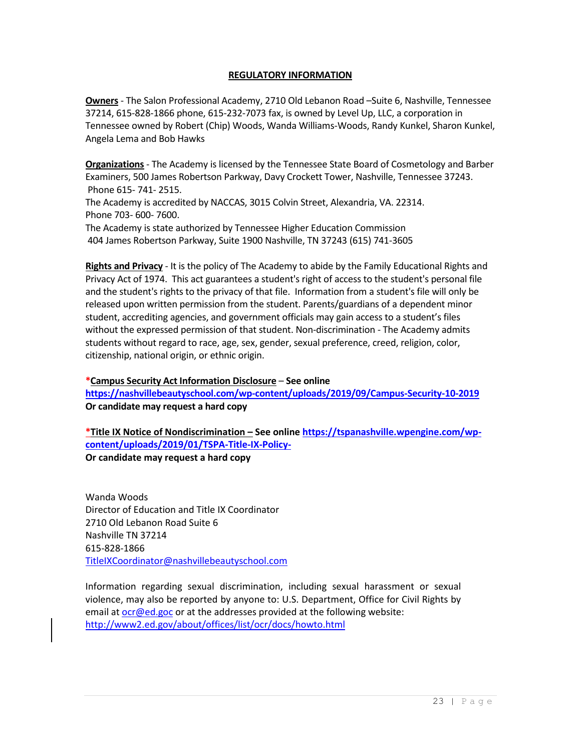### **REGULATORY INFORMATION**

**Owners** - The Salon Professional Academy, 2710 Old Lebanon Road –Suite 6, Nashville, Tennessee 37214, 615-828-1866 phone, 615-232-7073 fax, is owned by Level Up, LLC, a corporation in Tennessee owned by Robert (Chip) Woods, Wanda Williams-Woods, Randy Kunkel, Sharon Kunkel, Angela Lema and Bob Hawks

**Organizations** - The Academy is licensed by the Tennessee State Board of Cosmetology and Barber Examiners, 500 James Robertson Parkway, Davy Crockett Tower, Nashville, Tennessee 37243. Phone 615- 741- 2515. The Academy is accredited by NACCAS, 3015 Colvin Street, Alexandria, VA. 22314. Phone 703- 600- 7600. The Academy is state authorized by Tennessee Higher Education Commission

404 James Robertson Parkway, Suite 1900 Nashville, TN 37243 (615) 741-3605

**Rights and Privacy** - It is the policy of The Academy to abide by the Family Educational Rights and Privacy Act of 1974. This act guarantees a student's right of access to the student's personal file and the student's rights to the privacy of that file. Information from a student's file will only be released upon written permission from the student. Parents/guardians of a dependent minor student, accrediting agencies, and government officials may gain access to a student's files without the expressed permission of that student. Non-discrimination - The Academy admits students without regard to race, age, sex, gender, sexual preference, creed, religion, color, citizenship, national origin, or ethnic origin.

# **\*Campus Security Act Information Disclosure** – **See online**

**<https://nashvillebeautyschool.com/wp-content/uploads/2019/09/Campus-Security-10-2019> Or candidate may request a hard copy** 

**\*Title IX Notice of Nondiscrimination – See online [https://tspanashville.wpengine.com/wp](https://tspanashville.wpengine.com/wp-content/uploads/2019/01/TSPA-Title-IX-Policy-)[content/uploads/2019/01/TSPA-Title-IX-Policy-](https://tspanashville.wpengine.com/wp-content/uploads/2019/01/TSPA-Title-IX-Policy-)Or candidate may request a hard copy**

Wanda Woods Director of Education and Title IX Coordinator 2710 Old Lebanon Road Suite 6 Nashville TN 37214 615-828-1866 [TitleIXCoordinator@nashvillebeautyschool.com](mailto:TitleIXCoordinator@nashvillebeautyschool.com)

Information regarding sexual discrimination, including sexual harassment or sexual violence, may also be reported by anyone to: U.S. Department, Office for Civil Rights by email a[t ocr@ed.goc](mailto:ocr@ed.goc) or at the addresses provided at the following website: <http://www2.ed.gov/about/offices/list/ocr/docs/howto.html>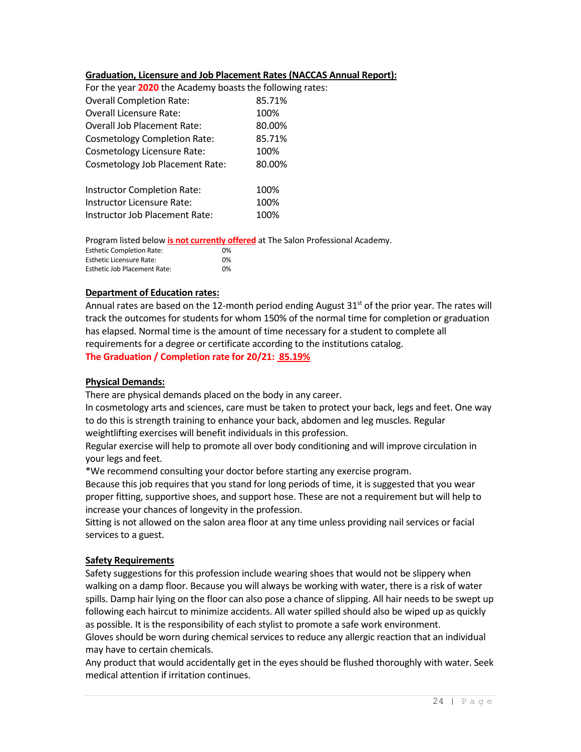## **Graduation, Licensure and Job Placement Rates (NACCAS Annual Report):**

| For the year 2020 the Academy boasts the following rates: |        |
|-----------------------------------------------------------|--------|
| <b>Overall Completion Rate:</b>                           | 85.71% |
| <b>Overall Licensure Rate:</b>                            | 100%   |
| <b>Overall Job Placement Rate:</b>                        | 80.00% |
| <b>Cosmetology Completion Rate:</b>                       | 85.71% |
| <b>Cosmetology Licensure Rate:</b>                        | 100%   |
| <b>Cosmetology Job Placement Rate:</b>                    | 80.00% |
| Instructor Completion Rate:                               | 100%   |
| Instructor Licensure Rate:                                | 100%   |
| Instructor Job Placement Rate:                            | 100%   |

Program listed below **is not currently offered** at The Salon Professional Academy.

| <b>Esthetic Completion Rate:</b> | 0% |
|----------------------------------|----|
| <b>Esthetic Licensure Rate:</b>  | በ% |
| Esthetic Job Placement Rate:     | 0% |

#### **Department of Education rates:**

Annual rates are based on the 12-month period ending August  $31<sup>st</sup>$  of the prior year. The rates will track the outcomes for students for whom 150% of the normal time for completion or graduation has elapsed. Normal time is the amount of time necessary for a student to complete all requirements for a degree or certificate according to the institutions catalog. **The Graduation / Completion rate for 20/21: 85.19%**

#### **Physical Demands:**

There are physical demands placed on the body in any career.

In cosmetology arts and sciences, care must be taken to protect your back, legs and feet. One way to do this is strength training to enhance your back, abdomen and leg muscles. Regular weightlifting exercises will benefit individuals in this profession.

Regular exercise will help to promote all over body conditioning and will improve circulation in your legs and feet.

\*We recommend consulting your doctor before starting any exercise program.

Because this job requires that you stand for long periods of time, it is suggested that you wear proper fitting, supportive shoes, and support hose. These are not a requirement but will help to increase your chances of longevity in the profession.

Sitting is not allowed on the salon area floor at any time unless providing nail services or facial services to a guest.

#### **Safety Requirements**

Safety suggestions for this profession include wearing shoes that would not be slippery when walking on a damp floor. Because you will always be working with water, there is a risk of water spills. Damp hair lying on the floor can also pose a chance of slipping. All hair needs to be swept up following each haircut to minimize accidents. All water spilled should also be wiped up as quickly as possible. It is the responsibility of each stylist to promote a safe work environment. Gloves should be worn during chemical services to reduce any allergic reaction that an individual may have to certain chemicals.

Any product that would accidentally get in the eyes should be flushed thoroughly with water. Seek medical attention if irritation continues.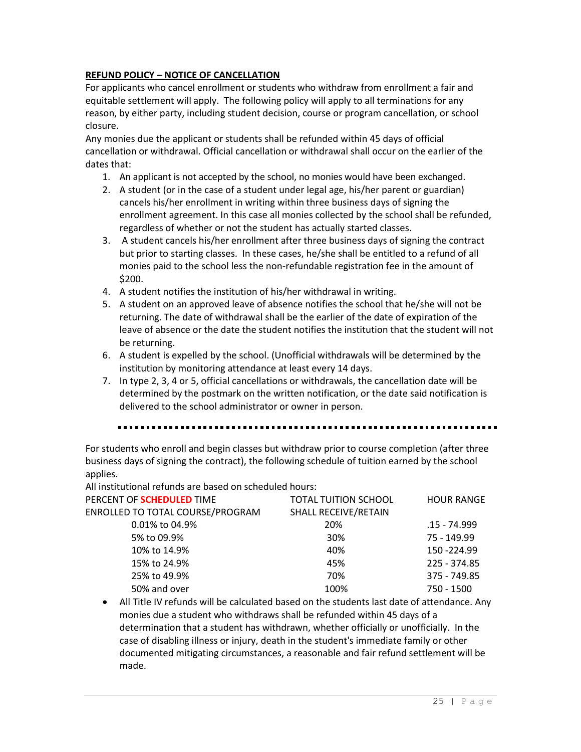# **REFUND POLICY – NOTICE OF CANCELLATION**

For applicants who cancel enrollment or students who withdraw from enrollment a fair and equitable settlement will apply. The following policy will apply to all terminations for any reason, by either party, including student decision, course or program cancellation, or school closure.

Any monies due the applicant or students shall be refunded within 45 days of official cancellation or withdrawal. Official cancellation or withdrawal shall occur on the earlier of the dates that:

- 1. An applicant is not accepted by the school, no monies would have been exchanged.
- 2. A student (or in the case of a student under legal age, his/her parent or guardian) cancels his/her enrollment in writing within three business days of signing the enrollment agreement. In this case all monies collected by the school shall be refunded, regardless of whether or not the student has actually started classes.
- 3. A student cancels his/her enrollment after three business days of signing the contract but prior to starting classes. In these cases, he/she shall be entitled to a refund of all monies paid to the school less the non-refundable registration fee in the amount of \$200.
- 4. A student notifies the institution of his/her withdrawal in writing.
- 5. A student on an approved leave of absence notifies the school that he/she will not be returning. The date of withdrawal shall be the earlier of the date of expiration of the leave of absence or the date the student notifies the institution that the student will not be returning.
- 6. A student is expelled by the school. (Unofficial withdrawals will be determined by the institution by monitoring attendance at least every 14 days.
- 7. In type 2, 3, 4 or 5, official cancellations or withdrawals, the cancellation date will be determined by the postmark on the written notification, or the date said notification is delivered to the school administrator or owner in person.

For students who enroll and begin classes but withdraw prior to course completion (after three business days of signing the contract), the following schedule of tuition earned by the school applies.

All institutional refunds are based on scheduled hours:

| PERCENT OF SCHEDULED TIME        | <b>TOTAL TUITION SCHOOL</b> | <b>HOUR RANGE</b> |
|----------------------------------|-----------------------------|-------------------|
| ENROLLED TO TOTAL COURSE/PROGRAM | SHALL RECEIVE/RETAIN        |                   |
| 0.01% to 04.9%                   | 20%                         | .15 - 74.999      |
| 5% to 09.9%                      | 30%                         | 75 - 149.99       |
| 10% to 14.9%                     | 40%                         | 150 - 224.99      |
| 15% to 24.9%                     | 45%                         | 225 - 374.85      |
| 25% to 49.9%                     | 70%                         | 375 - 749.85      |
| 50% and over                     | 100%                        | 750 - 1500        |

• All Title IV refunds will be calculated based on the students last date of attendance. Any monies due a student who withdraws shall be refunded within 45 days of a determination that a student has withdrawn, whether officially or unofficially. In the case of disabling illness or injury, death in the student's immediate family or other documented mitigating circumstances, a reasonable and fair refund settlement will be made.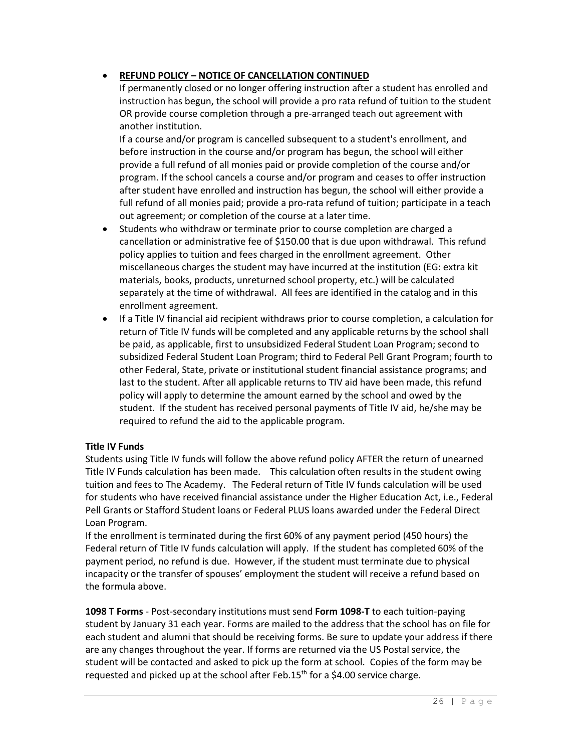# • **REFUND POLICY – NOTICE OF CANCELLATION CONTINUED**

If permanently closed or no longer offering instruction after a student has enrolled and instruction has begun, the school will provide a pro rata refund of tuition to the student OR provide course completion through a pre-arranged teach out agreement with another institution.

If a course and/or program is cancelled subsequent to a student's enrollment, and before instruction in the course and/or program has begun, the school will either provide a full refund of all monies paid or provide completion of the course and/or program. If the school cancels a course and/or program and ceases to offer instruction after student have enrolled and instruction has begun, the school will either provide a full refund of all monies paid; provide a pro-rata refund of tuition; participate in a teach out agreement; or completion of the course at a later time.

- Students who withdraw or terminate prior to course completion are charged a cancellation or administrative fee of \$150.00 that is due upon withdrawal. This refund policy applies to tuition and fees charged in the enrollment agreement. Other miscellaneous charges the student may have incurred at the institution (EG: extra kit materials, books, products, unreturned school property, etc.) will be calculated separately at the time of withdrawal. All fees are identified in the catalog and in this enrollment agreement.
- If a Title IV financial aid recipient withdraws prior to course completion, a calculation for return of Title IV funds will be completed and any applicable returns by the school shall be paid, as applicable, first to unsubsidized Federal Student Loan Program; second to subsidized Federal Student Loan Program; third to Federal Pell Grant Program; fourth to other Federal, State, private or institutional student financial assistance programs; and last to the student. After all applicable returns to TIV aid have been made, this refund policy will apply to determine the amount earned by the school and owed by the student. If the student has received personal payments of Title IV aid, he/she may be required to refund the aid to the applicable program.

# **Title IV Funds**

Students using Title IV funds will follow the above refund policy AFTER the return of unearned Title IV Funds calculation has been made. This calculation often results in the student owing tuition and fees to The Academy. The Federal return of Title IV funds calculation will be used for students who have received financial assistance under the Higher Education Act, i.e., Federal Pell Grants or Stafford Student loans or Federal PLUS loans awarded under the Federal Direct Loan Program.

If the enrollment is terminated during the first 60% of any payment period (450 hours) the Federal return of Title IV funds calculation will apply. If the student has completed 60% of the payment period, no refund is due. However, if the student must terminate due to physical incapacity or the transfer of spouses' employment the student will receive a refund based on the formula above.

**1098 T Forms** - Post-secondary institutions must send **Form 1098-T** to each tuition-paying student by January 31 each year. Forms are mailed to the address that the school has on file for each student and alumni that should be receiving forms. Be sure to update your address if there are any changes throughout the year. If forms are returned via the US Postal service, the student will be contacted and asked to pick up the form at school. Copies of the form may be requested and picked up at the school after Feb. $15<sup>th</sup>$  for a \$4.00 service charge.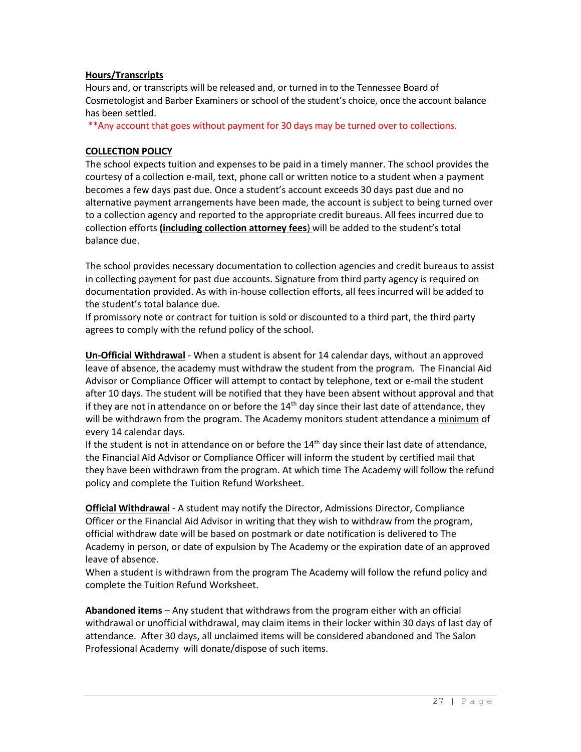## **Hours/Transcripts**

Hours and, or transcripts will be released and, or turned in to the Tennessee Board of Cosmetologist and Barber Examiners or school of the student's choice, once the account balance has been settled.

\*\*Any account that goes without payment for 30 days may be turned over to collections.

#### **COLLECTION POLICY**

The school expects tuition and expenses to be paid in a timely manner. The school provides the courtesy of a collection e-mail, text, phone call or written notice to a student when a payment becomes a few days past due. Once a student's account exceeds 30 days past due and no alternative payment arrangements have been made, the account is subject to being turned over to a collection agency and reported to the appropriate credit bureaus. All fees incurred due to collection efforts **(including collection attorney fees**) will be added to the student's total balance due.

The school provides necessary documentation to collection agencies and credit bureaus to assist in collecting payment for past due accounts. Signature from third party agency is required on documentation provided. As with in-house collection efforts, all fees incurred will be added to the student's total balance due.

If promissory note or contract for tuition is sold or discounted to a third part, the third party agrees to comply with the refund policy of the school.

**Un-Official Withdrawal** - When a student is absent for 14 calendar days, without an approved leave of absence, the academy must withdraw the student from the program. The Financial Aid Advisor or Compliance Officer will attempt to contact by telephone, text or e-mail the student after 10 days. The student will be notified that they have been absent without approval and that if they are not in attendance on or before the  $14<sup>th</sup>$  day since their last date of attendance, they will be withdrawn from the program. The Academy monitors student attendance a minimum of every 14 calendar days.

If the student is not in attendance on or before the  $14<sup>th</sup>$  day since their last date of attendance, the Financial Aid Advisor or Compliance Officer will inform the student by certified mail that they have been withdrawn from the program. At which time The Academy will follow the refund policy and complete the Tuition Refund Worksheet.

**Official Withdrawal** - A student may notify the Director, Admissions Director, Compliance Officer or the Financial Aid Advisor in writing that they wish to withdraw from the program, official withdraw date will be based on postmark or date notification is delivered to The Academy in person, or date of expulsion by The Academy or the expiration date of an approved leave of absence.

When a student is withdrawn from the program The Academy will follow the refund policy and complete the Tuition Refund Worksheet.

**Abandoned items** – Any student that withdraws from the program either with an official withdrawal or unofficial withdrawal, may claim items in their locker within 30 days of last day of attendance. After 30 days, all unclaimed items will be considered abandoned and The Salon Professional Academy will donate/dispose of such items.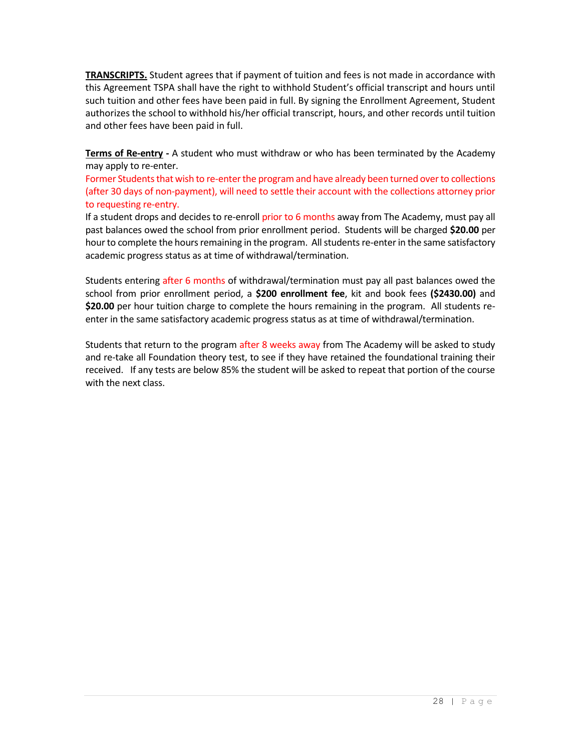**TRANSCRIPTS.** Student agrees that if payment of tuition and fees is not made in accordance with this Agreement TSPA shall have the right to withhold Student's official transcript and hours until such tuition and other fees have been paid in full. By signing the Enrollment Agreement, Student authorizes the school to withhold his/her official transcript, hours, and other records until tuition and other fees have been paid in full.

**Terms of Re-entry -** A student who must withdraw or who has been terminated by the Academy may apply to re-enter.

Former Students that wish to re-enter the program and have already been turned over to collections (after 30 days of non-payment), will need to settle their account with the collections attorney prior to requesting re-entry.

If a student drops and decides to re-enroll prior to 6 months away from The Academy, must pay all past balances owed the school from prior enrollment period. Students will be charged **\$20.00** per hour to complete the hours remaining in the program. All students re-enter in the same satisfactory academic progress status as at time of withdrawal/termination.

Students entering after 6 months of withdrawal/termination must pay all past balances owed the school from prior enrollment period, a **\$200 enrollment fee**, kit and book fees **(\$2430.00)** and **\$20.00** per hour tuition charge to complete the hours remaining in the program. All students reenter in the same satisfactory academic progress status as at time of withdrawal/termination.

Students that return to the program after 8 weeks away from The Academy will be asked to study and re-take all Foundation theory test, to see if they have retained the foundational training their received. If any tests are below 85% the student will be asked to repeat that portion of the course with the next class.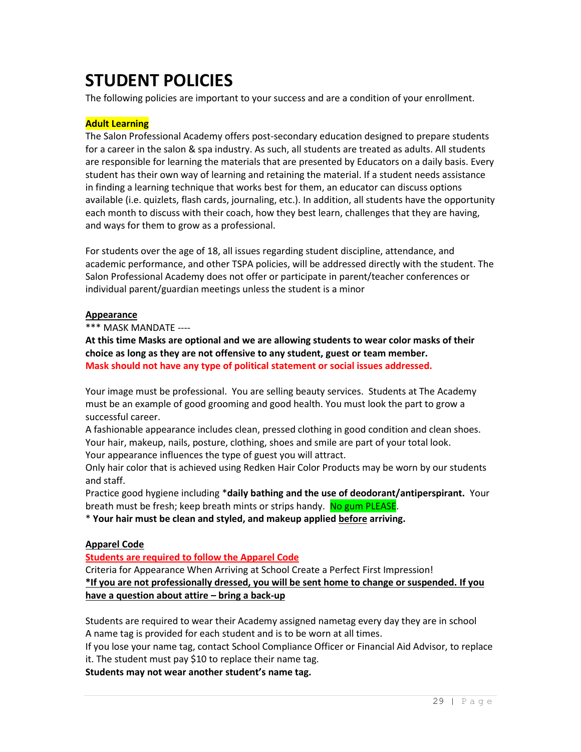# **STUDENT POLICIES**

The following policies are important to your success and are a condition of your enrollment.

# **Adult Learning**

The Salon Professional Academy offers post-secondary education designed to prepare students for a career in the salon & spa industry. As such, all students are treated as adults. All students are responsible for learning the materials that are presented by Educators on a daily basis. Every student has their own way of learning and retaining the material. If a student needs assistance in finding a learning technique that works best for them, an educator can discuss options available (i.e. quizlets, flash cards, journaling, etc.). In addition, all students have the opportunity each month to discuss with their coach, how they best learn, challenges that they are having, and ways for them to grow as a professional.

For students over the age of 18, all issues regarding student discipline, attendance, and academic performance, and other TSPA policies, will be addressed directly with the student. The Salon Professional Academy does not offer or participate in parent/teacher conferences or individual parent/guardian meetings unless the student is a minor

#### **Appearance**

\*\*\* MASK MANDATE ----

**At this time Masks are optional and we are allowing students to wear color masks of their choice as long as they are not offensive to any student, guest or team member. Mask should not have any type of political statement or social issues addressed.**

Your image must be professional. You are selling beauty services. Students at The Academy must be an example of good grooming and good health. You must look the part to grow a successful career.

A fashionable appearance includes clean, pressed clothing in good condition and clean shoes. Your hair, makeup, nails, posture, clothing, shoes and smile are part of your total look. Your appearance influences the type of guest you will attract.

Only hair color that is achieved using Redken Hair Color Products may be worn by our students and staff.

Practice good hygiene including \***daily bathing and the use of deodorant/antiperspirant.** Your breath must be fresh; keep breath mints or strips handy. No gum PLEASE.

\* **Your hair must be clean and styled, and makeup applied before arriving.**

# **Apparel Code**

**Students are required to follow the Apparel Code**

Criteria for Appearance When Arriving at School Create a Perfect First Impression! **\*If you are not professionally dressed, you will be sent home to change or suspended. If you have a question about attire – bring a back-up**

Students are required to wear their Academy assigned nametag every day they are in school A name tag is provided for each student and is to be worn at all times.

If you lose your name tag, contact School Compliance Officer or Financial Aid Advisor, to replace it. The student must pay \$10 to replace their name tag.

**Students may not wear another student's name tag.**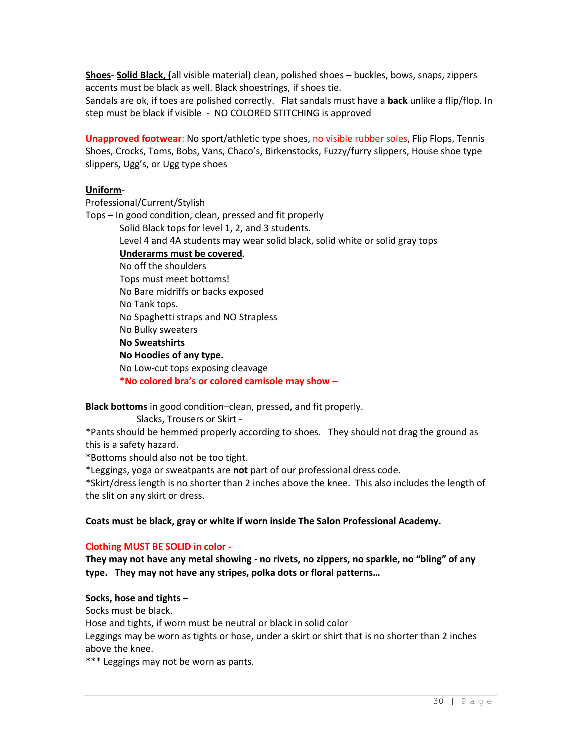**Shoes**- **Solid Black, (**all visible material) clean, polished shoes – buckles, bows, snaps, zippers accents must be black as well. Black shoestrings, if shoes tie.

Sandals are ok, if toes are polished correctly. Flat sandals must have a **back** unlike a flip/flop. In step must be black if visible - NO COLORED STITCHING is approved

**Unapproved footwear**: No sport/athletic type shoes, no visible rubber soles, Flip Flops, Tennis Shoes, Crocks, Toms, Bobs, Vans, Chaco's, Birkenstocks, Fuzzy/furry slippers, House shoe type slippers, Ugg's, or Ugg type shoes

#### **Uniform**-

Professional/Current/Stylish

Tops – In good condition, clean, pressed and fit properly

Solid Black tops for level 1, 2, and 3 students.

Level 4 and 4A students may wear solid black, solid white or solid gray tops

#### **Underarms must be covered**.

- No off the shoulders
- Tops must meet bottoms!
- No Bare midriffs or backs exposed

No Tank tops.

- No Spaghetti straps and NO Strapless
- No Bulky sweaters

## **No Sweatshirts**

**No Hoodies of any type.**

No Low-cut tops exposing cleavage

**\*No colored bra's or colored camisole may show –**

**Black bottoms** in good condition–clean, pressed, and fit properly.

Slacks, Trousers or Skirt -

\*Pants should be hemmed properly according to shoes. They should not drag the ground as this is a safety hazard.

\*Bottoms should also not be too tight.

\*Leggings, yoga or sweatpants are **not** part of our professional dress code.

\*Skirt/dress length is no shorter than 2 inches above the knee. This also includes the length of the slit on any skirt or dress.

# **Coats must be black, gray or white if worn inside The Salon Professional Academy.**

# **Clothing MUST BE SOLID in color -**

**They may not have any metal showing - no rivets, no zippers, no sparkle, no "bling" of any type. They may not have any stripes, polka dots or floral patterns…**

#### **Socks, hose and tights –**

Socks must be black.

Hose and tights, if worn must be neutral or black in solid color

Leggings may be worn as tights or hose, under a skirt or shirt that is no shorter than 2 inches above the knee.

\*\*\* Leggings may not be worn as pants.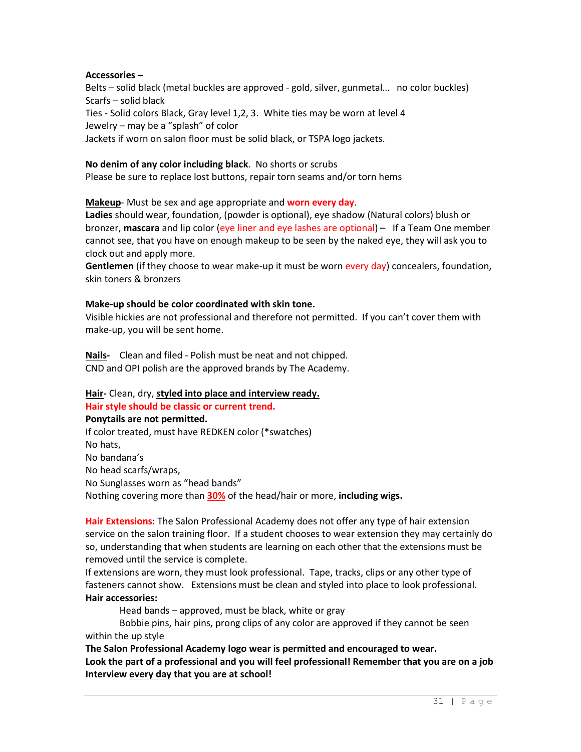#### **Accessories –**

Belts – solid black (metal buckles are approved - gold, silver, gunmetal… no color buckles) Scarfs – solid black Ties - Solid colors Black, Gray level 1,2, 3. White ties may be worn at level 4 Jewelry – may be a "splash" of color Jackets if worn on salon floor must be solid black, or TSPA logo jackets.

#### **No denim of any color including black**. No shorts or scrubs

Please be sure to replace lost buttons, repair torn seams and/or torn hems

**Makeup**- Must be sex and age appropriate and **worn every day**.

**Ladies** should wear, foundation, (powder is optional), eye shadow (Natural colors) blush or bronzer, **mascara** and lip color (eye liner and eye lashes are optional) – If a Team One member cannot see, that you have on enough makeup to be seen by the naked eye, they will ask you to clock out and apply more.

**Gentlemen** (if they choose to wear make-up it must be worn every day) concealers, foundation, skin toners & bronzers

#### **Make-up should be color coordinated with skin tone.**

Visible hickies are not professional and therefore not permitted. If you can't cover them with make-up, you will be sent home.

**Nails-** Clean and filed - Polish must be neat and not chipped. CND and OPI polish are the approved brands by The Academy.

#### **Hair-** Clean, dry, **styled into place and interview ready. Hair style should be classic or current trend.**

#### **Ponytails are not permitted.**

If color treated, must have REDKEN color (\*swatches) No hats, No bandana's No head scarfs/wraps, No Sunglasses worn as "head bands" Nothing covering more than **30%** of the head/hair or more, **including wigs.**

**Hair Extensions**: The Salon Professional Academy does not offer any type of hair extension service on the salon training floor. If a student chooses to wear extension they may certainly do so, understanding that when students are learning on each other that the extensions must be removed until the service is complete.

If extensions are worn, they must look professional. Tape, tracks, clips or any other type of fasteners cannot show. Extensions must be clean and styled into place to look professional. **Hair accessories:**

Head bands – approved, must be black, white or gray

Bobbie pins, hair pins, prong clips of any color are approved if they cannot be seen within the up style

**The Salon Professional Academy logo wear is permitted and encouraged to wear. Look the part of a professional and you will feel professional! Remember that you are on a job Interview every day that you are at school!**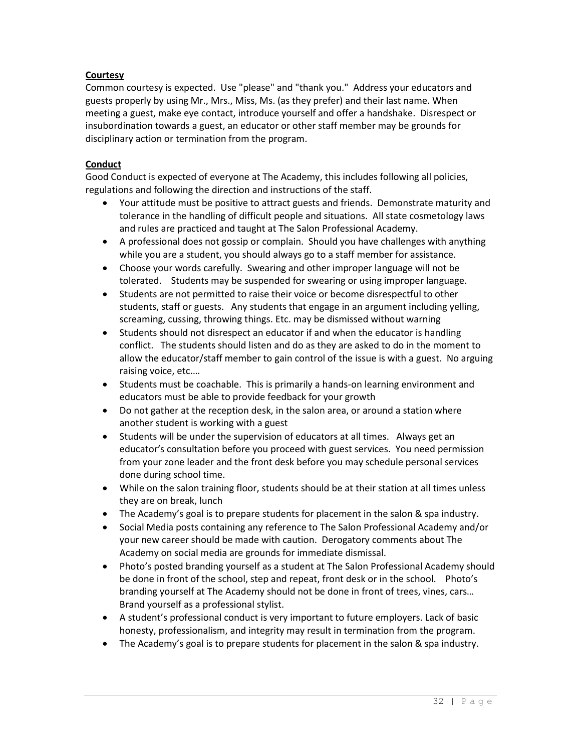# **Courtesy**

Common courtesy is expected. Use "please" and "thank you." Address your educators and guests properly by using Mr., Mrs., Miss, Ms. (as they prefer) and their last name. When meeting a guest, make eye contact, introduce yourself and offer a handshake. Disrespect or insubordination towards a guest, an educator or other staff member may be grounds for disciplinary action or termination from the program.

# **Conduct**

Good Conduct is expected of everyone at The Academy, this includes following all policies, regulations and following the direction and instructions of the staff.

- Your attitude must be positive to attract guests and friends. Demonstrate maturity and tolerance in the handling of difficult people and situations. All state cosmetology laws and rules are practiced and taught at The Salon Professional Academy.
- A professional does not gossip or complain. Should you have challenges with anything while you are a student, you should always go to a staff member for assistance.
- Choose your words carefully. Swearing and other improper language will not be tolerated. Students may be suspended for swearing or using improper language.
- Students are not permitted to raise their voice or become disrespectful to other students, staff or guests. Any students that engage in an argument including yelling, screaming, cussing, throwing things. Etc. may be dismissed without warning
- Students should not disrespect an educator if and when the educator is handling conflict. The students should listen and do as they are asked to do in the moment to allow the educator/staff member to gain control of the issue is with a guest. No arguing raising voice, etc.…
- Students must be coachable. This is primarily a hands-on learning environment and educators must be able to provide feedback for your growth
- Do not gather at the reception desk, in the salon area, or around a station where another student is working with a guest
- Students will be under the supervision of educators at all times. Always get an educator's consultation before you proceed with guest services. You need permission from your zone leader and the front desk before you may schedule personal services done during school time.
- While on the salon training floor, students should be at their station at all times unless they are on break, lunch
- The Academy's goal is to prepare students for placement in the salon & spa industry.
- Social Media posts containing any reference to The Salon Professional Academy and/or your new career should be made with caution. Derogatory comments about The Academy on social media are grounds for immediate dismissal.
- Photo's posted branding yourself as a student at The Salon Professional Academy should be done in front of the school, step and repeat, front desk or in the school. Photo's branding yourself at The Academy should not be done in front of trees, vines, cars… Brand yourself as a professional stylist.
- A student's professional conduct is very important to future employers. Lack of basic honesty, professionalism, and integrity may result in termination from the program.
- The Academy's goal is to prepare students for placement in the salon & spa industry.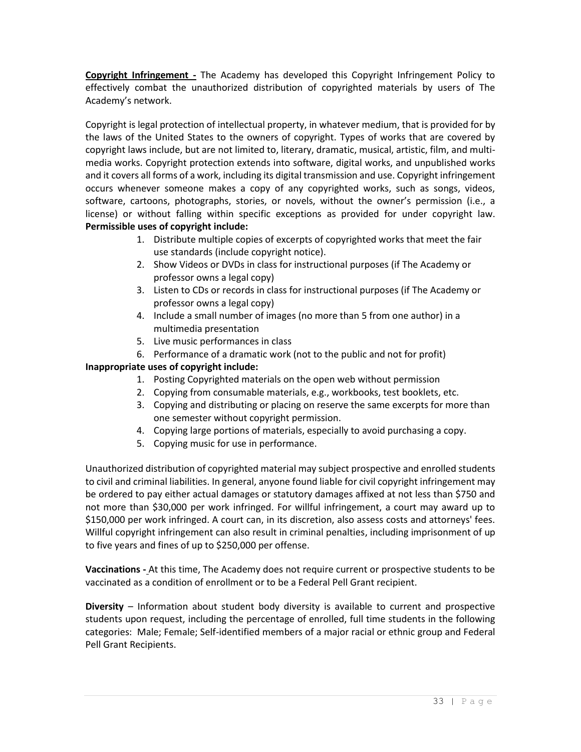**Copyright Infringement -** The Academy has developed this Copyright Infringement Policy to effectively combat the unauthorized distribution of copyrighted materials by users of The Academy's network.

Copyright is legal protection of intellectual property, in whatever medium, that is provided for by the laws of the United States to the owners of copyright. Types of works that are covered by copyright laws include, but are not limited to, literary, dramatic, musical, artistic, film, and multimedia works. Copyright protection extends into software, digital works, and unpublished works and it covers all forms of a work, including its digital transmission and use. Copyright infringement occurs whenever someone makes a copy of any copyrighted works, such as songs, videos, software, cartoons, photographs, stories, or novels, without the owner's permission (i.e., a license) or without falling within specific exceptions as provided for under copyright law. **Permissible uses of copyright include:**

- 1. Distribute multiple copies of excerpts of copyrighted works that meet the fair use standards (include copyright notice).
- 2. Show Videos or DVDs in class for instructional purposes (if The Academy or professor owns a legal copy)
- 3. Listen to CDs or records in class for instructional purposes (if The Academy or professor owns a legal copy)
- 4. Include a small number of images (no more than 5 from one author) in a multimedia presentation
- 5. Live music performances in class
- 6. Performance of a dramatic work (not to the public and not for profit)

# **Inappropriate uses of copyright include:**

- 1. Posting Copyrighted materials on the open web without permission
- 2. Copying from consumable materials, e.g., workbooks, test booklets, etc.
- 3. Copying and distributing or placing on reserve the same excerpts for more than one semester without copyright permission.
- 4. Copying large portions of materials, especially to avoid purchasing a copy.
- 5. Copying music for use in performance.

Unauthorized distribution of copyrighted material may subject prospective and enrolled students to civil and criminal liabilities. In general, anyone found liable for civil copyright infringement may be ordered to pay either actual damages or statutory damages affixed at not less than \$750 and not more than \$30,000 per work infringed. For willful infringement, a court may award up to \$150,000 per work infringed. A court can, in its discretion, also assess costs and attorneys' fees. Willful copyright infringement can also result in criminal penalties, including imprisonment of up to five years and fines of up to \$250,000 per offense.

**Vaccinations -** At this time, The Academy does not require current or prospective students to be vaccinated as a condition of enrollment or to be a Federal Pell Grant recipient.

**Diversity** – Information about student body diversity is available to current and prospective students upon request, including the percentage of enrolled, full time students in the following categories: Male; Female; Self-identified members of a major racial or ethnic group and Federal Pell Grant Recipients.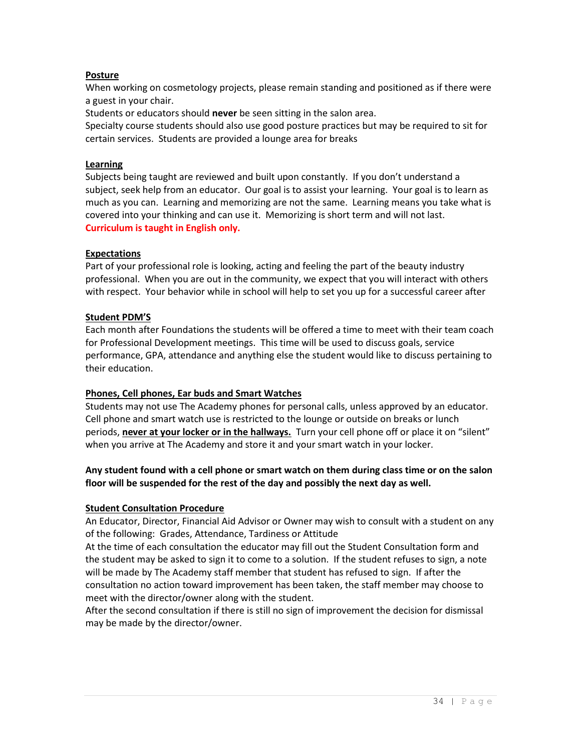## **Posture**

When working on cosmetology projects, please remain standing and positioned as if there were a guest in your chair.

Students or educators should **never** be seen sitting in the salon area.

Specialty course students should also use good posture practices but may be required to sit for certain services. Students are provided a lounge area for breaks

#### **Learning**

Subjects being taught are reviewed and built upon constantly. If you don't understand a subject, seek help from an educator. Our goal is to assist your learning. Your goal is to learn as much as you can. Learning and memorizing are not the same. Learning means you take what is covered into your thinking and can use it. Memorizing is short term and will not last. **Curriculum is taught in English only.** 

## **Expectations**

Part of your professional role is looking, acting and feeling the part of the beauty industry professional. When you are out in the community, we expect that you will interact with others with respect. Your behavior while in school will help to set you up for a successful career after

## **Student PDM'S**

Each month after Foundations the students will be offered a time to meet with their team coach for Professional Development meetings. This time will be used to discuss goals, service performance, GPA, attendance and anything else the student would like to discuss pertaining to their education.

# **Phones, Cell phones, Ear buds and Smart Watches**

Students may not use The Academy phones for personal calls, unless approved by an educator. Cell phone and smart watch use is restricted to the lounge or outside on breaks or lunch periods, **never at your locker or in the hallways.** Turn your cell phone off or place it on "silent" when you arrive at The Academy and store it and your smart watch in your locker.

# **Any student found with a cell phone or smart watch on them during class time or on the salon floor will be suspended for the rest of the day and possibly the next day as well.**

# **Student Consultation Procedure**

An Educator, Director, Financial Aid Advisor or Owner may wish to consult with a student on any of the following: Grades, Attendance, Tardiness or Attitude

At the time of each consultation the educator may fill out the Student Consultation form and the student may be asked to sign it to come to a solution. If the student refuses to sign, a note will be made by The Academy staff member that student has refused to sign. If after the consultation no action toward improvement has been taken, the staff member may choose to meet with the director/owner along with the student.

After the second consultation if there is still no sign of improvement the decision for dismissal may be made by the director/owner.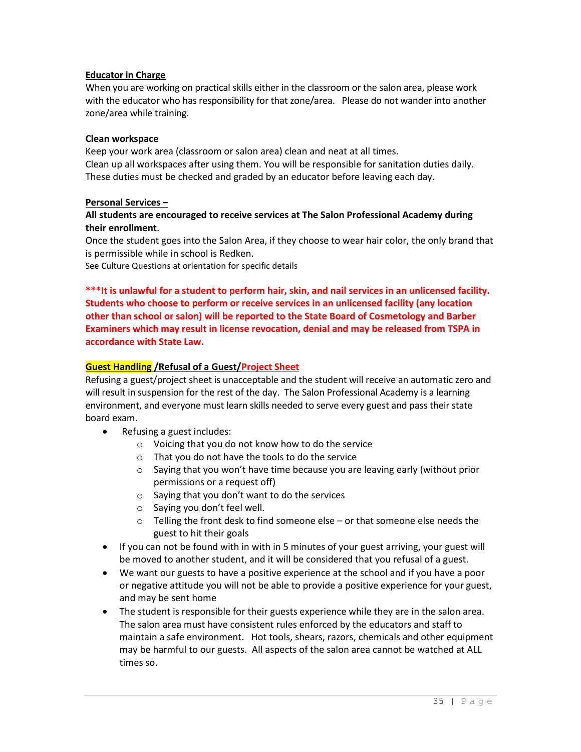#### **Educator in Charge**

When you are working on practical skills either in the classroom or the salon area, please work with the educator who has responsibility for that zone/area. Please do not wander into another zone/area while training.

#### **Clean workspace**

Keep your work area (classroom or salon area) clean and neat at all times. Clean up all workspaces after using them. You will be responsible for sanitation duties daily. These duties must be checked and graded by an educator before leaving each day.

## **Personal Services –**

# **All students are encouraged to receive services at The Salon Professional Academy during their enrollment**.

Once the student goes into the Salon Area, if they choose to wear hair color, the only brand that is permissible while in school is Redken.

See Culture Questions at orientation for specific details

**\*\*\*It is unlawful for a student to perform hair, skin, and nail services in an unlicensed facility. Students who choose to perform or receive services in an unlicensed facility (any location other than school or salon) will be reported to the State Board of Cosmetology and Barber Examiners which may result in license revocation, denial and may be released from TSPA in accordance with State Law.**

## **Guest Handling /Refusal of a Guest/Project Sheet**

Refusing a guest/project sheet is unacceptable and the student will receive an automatic zero and will result in suspension for the rest of the day. The Salon Professional Academy is a learning environment, and everyone must learn skills needed to serve every guest and pass their state board exam.

- Refusing a guest includes:
	- o Voicing that you do not know how to do the service
	- o That you do not have the tools to do the service
	- o Saying that you won't have time because you are leaving early (without prior permissions or a request off)
	- o Saying that you don't want to do the services
	- o Saying you don't feel well.
	- $\circ$  Telling the front desk to find someone else or that someone else needs the guest to hit their goals
- If you can not be found with in with in 5 minutes of your guest arriving, your guest will be moved to another student, and it will be considered that you refusal of a guest.
- We want our guests to have a positive experience at the school and if you have a poor or negative attitude you will not be able to provide a positive experience for your guest, and may be sent home
- The student is responsible for their guests experience while they are in the salon area. The salon area must have consistent rules enforced by the educators and staff to maintain a safe environment. Hot tools, shears, razors, chemicals and other equipment may be harmful to our guests. All aspects of the salon area cannot be watched at ALL times so.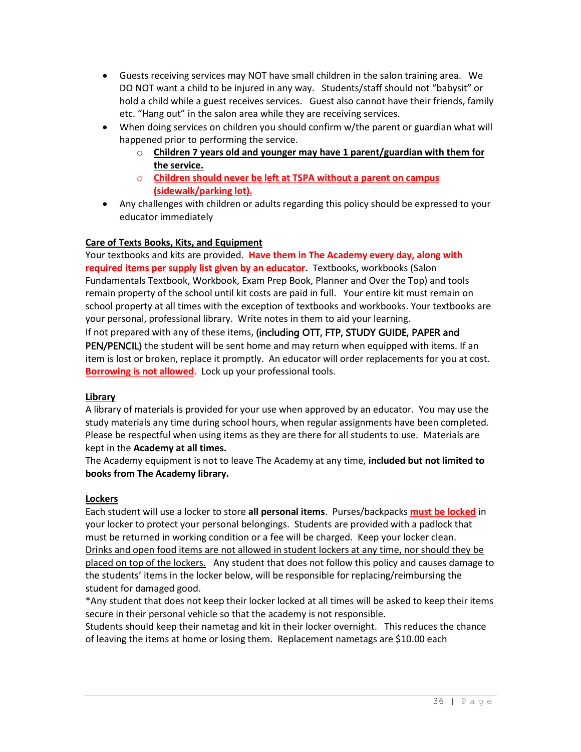- Guests receiving services may NOT have small children in the salon training area. We DO NOT want a child to be injured in any way. Students/staff should not "babysit" or hold a child while a guest receives services. Guest also cannot have their friends, family etc. "Hang out" in the salon area while they are receiving services.
- When doing services on children you should confirm w/the parent or guardian what will happened prior to performing the service.
	- o **Children 7 years old and younger may have 1 parent/guardian with them for the service.**
	- o **Children should never be left at TSPA without a parent on campus (sidewalk/parking lot).**
- Any challenges with children or adults regarding this policy should be expressed to your educator immediately

# **Care of Texts Books, Kits, and Equipment**

Your textbooks and kits are provided. **Have them in The Academy every day, along with required items per supply list given by an educator.** Textbooks, workbooks (Salon Fundamentals Textbook, Workbook, Exam Prep Book, Planner and Over the Top) and tools remain property of the school until kit costs are paid in full. Your entire kit must remain on school property at all times with the exception of textbooks and workbooks. Your textbooks are your personal, professional library. Write notes in them to aid your learning.

If not prepared with any of these items, (including OTT, FTP, STUDY GUIDE, PAPER and PEN/PENCIL) the student will be sent home and may return when equipped with items. If an item is lost or broken, replace it promptly. An educator will order replacements for you at cost. **Borrowing is not allowed**. Lock up your professional tools.

# **Library**

A library of materials is provided for your use when approved by an educator. You may use the study materials any time during school hours, when regular assignments have been completed. Please be respectful when using items as they are there for all students to use. Materials are kept in the **Academy at all times.**

The Academy equipment is not to leave The Academy at any time, **included but not limited to books from The Academy library.**

# **Lockers**

Each student will use a locker to store **all personal items**. Purses/backpacks **must be locked** in your locker to protect your personal belongings. Students are provided with a padlock that must be returned in working condition or a fee will be charged. Keep your locker clean. Drinks and open food items are not allowed in student lockers at any time, nor should they be placed on top of the lockers. Any student that does not follow this policy and causes damage to the students' items in the locker below, will be responsible for replacing/reimbursing the student for damaged good.

\*Any student that does not keep their locker locked at all times will be asked to keep their items secure in their personal vehicle so that the academy is not responsible.

Students should keep their nametag and kit in their locker overnight. This reduces the chance of leaving the items at home or losing them. Replacement nametags are \$10.00 each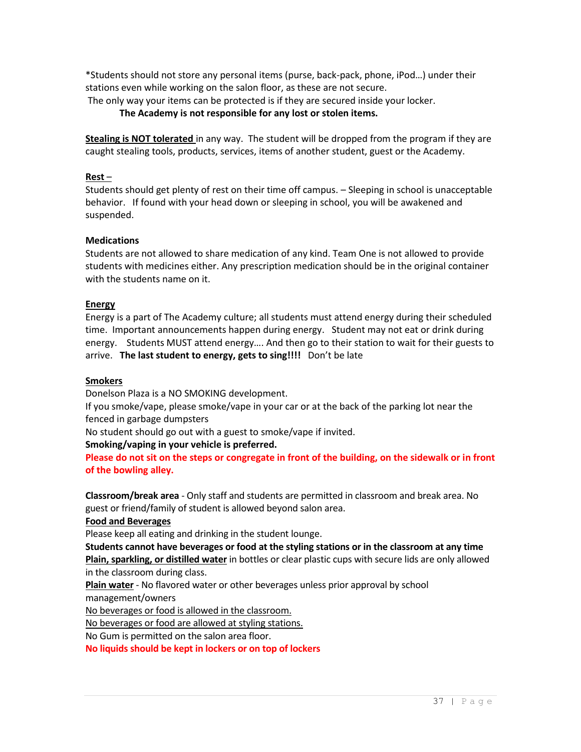\*Students should not store any personal items (purse, back-pack, phone, iPod…) under their stations even while working on the salon floor, as these are not secure.

The only way your items can be protected is if they are secured inside your locker.

**The Academy is not responsible for any lost or stolen items.**

**Stealing is NOT tolerated** in any way. The student will be dropped from the program if they are caught stealing tools, products, services, items of another student, guest or the Academy.

#### **Rest** –

Students should get plenty of rest on their time off campus. – Sleeping in school is unacceptable behavior. If found with your head down or sleeping in school, you will be awakened and suspended.

## **Medications**

Students are not allowed to share medication of any kind. Team One is not allowed to provide students with medicines either. Any prescription medication should be in the original container with the students name on it.

## **Energy**

Energy is a part of The Academy culture; all students must attend energy during their scheduled time. Important announcements happen during energy. Student may not eat or drink during energy. Students MUST attend energy…. And then go to their station to wait for their guests to arrive. **The last student to energy, gets to sing!!!!** Don't be late

#### **Smokers**

Donelson Plaza is a NO SMOKING development.

If you smoke/vape, please smoke/vape in your car or at the back of the parking lot near the fenced in garbage dumpsters

No student should go out with a guest to smoke/vape if invited.

# **Smoking/vaping in your vehicle is preferred.**

**Please do not sit on the steps or congregate in front of the building, on the sidewalk or in front of the bowling alley.** 

**Classroom/break area** - Only staff and students are permitted in classroom and break area. No guest or friend/family of student is allowed beyond salon area.

#### **Food and Beverages**

Please keep all eating and drinking in the student lounge.

**Students cannot have beverages or food at the styling stations or in the classroom at any time** 

**Plain, sparkling, or distilled water** in bottles or clear plastic cups with secure lids are only allowed in the classroom during class.

**Plain water** - No flavored water or other beverages unless prior approval by school management/owners

No beverages or food is allowed in the classroom.

No beverages or food are allowed at styling stations.

No Gum is permitted on the salon area floor.

**No liquids should be kept in lockers or on top of lockers**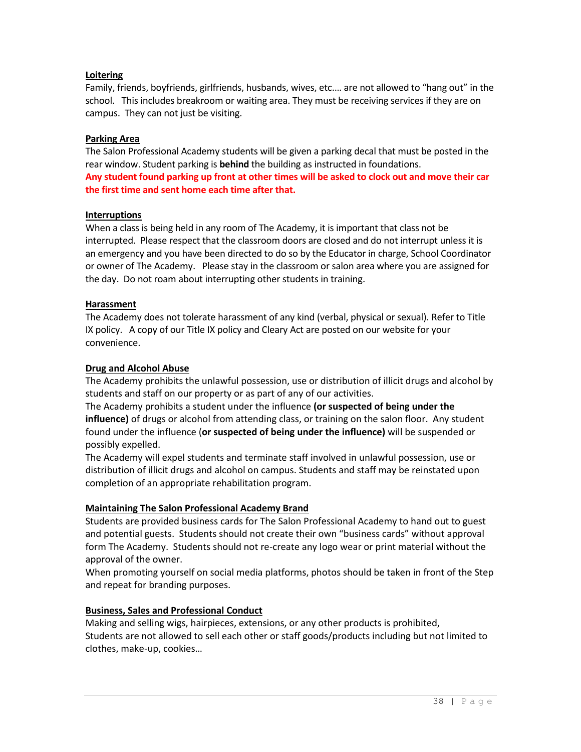## **Loitering**

Family, friends, boyfriends, girlfriends, husbands, wives, etc.… are not allowed to "hang out" in the school. This includes breakroom or waiting area. They must be receiving services if they are on campus. They can not just be visiting.

# **Parking Area**

The Salon Professional Academy students will be given a parking decal that must be posted in the rear window. Student parking is **behind** the building as instructed in foundations. **Any student found parking up front at other times will be asked to clock out and move their car the first time and sent home each time after that.**

#### **Interruptions**

When a class is being held in any room of The Academy, it is important that class not be interrupted. Please respect that the classroom doors are closed and do not interrupt unless it is an emergency and you have been directed to do so by the Educator in charge, School Coordinator or owner of The Academy. Please stay in the classroom or salon area where you are assigned for the day. Do not roam about interrupting other students in training.

#### **Harassment**

The Academy does not tolerate harassment of any kind (verbal, physical or sexual). Refer to Title IX policy. A copy of our Title IX policy and Cleary Act are posted on our website for your convenience.

#### **Drug and Alcohol Abuse**

The Academy prohibits the unlawful possession, use or distribution of illicit drugs and alcohol by students and staff on our property or as part of any of our activities.

The Academy prohibits a student under the influence **(or suspected of being under the influence)** of drugs or alcohol from attending class, or training on the salon floor. Any student found under the influence (**or suspected of being under the influence)** will be suspended or possibly expelled.

The Academy will expel students and terminate staff involved in unlawful possession, use or distribution of illicit drugs and alcohol on campus. Students and staff may be reinstated upon completion of an appropriate rehabilitation program.

#### **Maintaining The Salon Professional Academy Brand**

Students are provided business cards for The Salon Professional Academy to hand out to guest and potential guests. Students should not create their own "business cards" without approval form The Academy. Students should not re-create any logo wear or print material without the approval of the owner.

When promoting yourself on social media platforms, photos should be taken in front of the Step and repeat for branding purposes.

#### **Business, Sales and Professional Conduct**

Making and selling wigs, hairpieces, extensions, or any other products is prohibited, Students are not allowed to sell each other or staff goods/products including but not limited to clothes, make-up, cookies…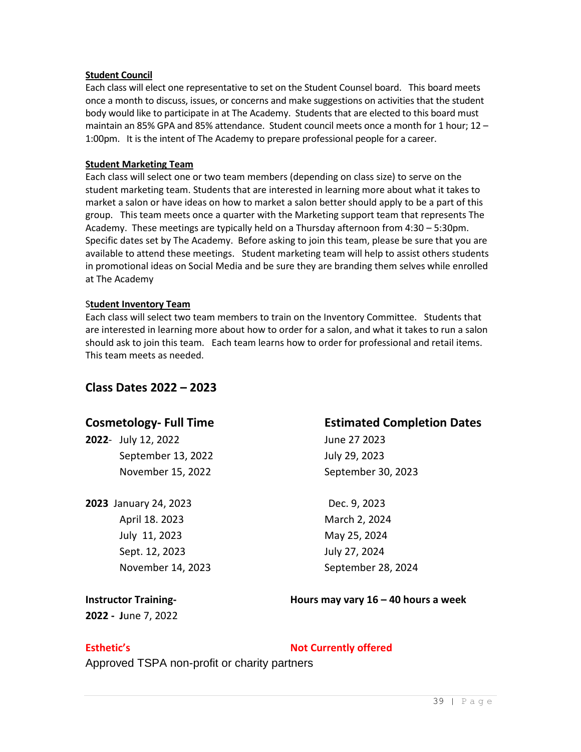#### **Student Council**

Each class will elect one representative to set on the Student Counsel board. This board meets once a month to discuss, issues, or concerns and make suggestions on activities that the student body would like to participate in at The Academy. Students that are elected to this board must maintain an 85% GPA and 85% attendance. Student council meets once a month for 1 hour; 12 – 1:00pm. It is the intent of The Academy to prepare professional people for a career.

#### **Student Marketing Team**

Each class will select one or two team members (depending on class size) to serve on the student marketing team. Students that are interested in learning more about what it takes to market a salon or have ideas on how to market a salon better should apply to be a part of this group. This team meets once a quarter with the Marketing support team that represents The Academy. These meetings are typically held on a Thursday afternoon from 4:30 – 5:30pm. Specific dates set by The Academy. Before asking to join this team, please be sure that you are available to attend these meetings. Student marketing team will help to assist others students in promotional ideas on Social Media and be sure they are branding them selves while enrolled at The Academy

#### S**tudent Inventory Team**

Each class will select two team members to train on the Inventory Committee. Students that are interested in learning more about how to order for a salon, and what it takes to run a salon should ask to join this team. Each team learns how to order for professional and retail items. This team meets as needed.

# **Class Dates 2022 – 2023**

**2022**- July 12, 2022 June 27 2023 September 13, 2022 July 29, 2023 November 15, 2022 September 30, 2023

**2023** January 24, 2023 Dec. 9, 2023 April 18. 2023 March 2, 2024 July 11, 2023 May 25, 2024 Sept. 12, 2023 July 27, 2024

# **Cosmetology- Full Time Estimated Completion Dates**

November 14, 2023 September 28, 2024

**2022 - J**une 7, 2022

**Instructor Training- Hours may vary 16 – 40 hours a week**

**Esthetic's Not Currently offered** 

Approved TSPA non-profit or charity partners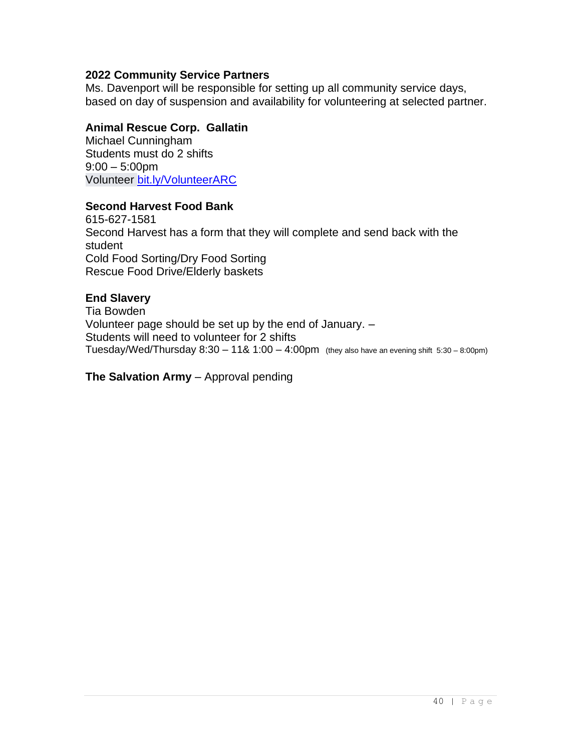# **2022 Community Service Partners**

Ms. Davenport will be responsible for setting up all community service days, based on day of suspension and availability for volunteering at selected partner.

# **Animal Rescue Corp. Gallatin**

Michael Cunningham Students must do 2 shifts 9:00 – 5:00pm Volunteer [bit.ly/VolunteerARC](http://bit.ly/VolunteerARC?fbclid=IwAR1TdBtvHnOSNPU-oHfwpRGicuVIFIS8RGCjH7r_DQ9SIY8LxXV9ZO-mQ4k)

# **Second Harvest Food Bank**

615-627-1581 Second Harvest has a form that they will complete and send back with the student Cold Food Sorting/Dry Food Sorting Rescue Food Drive/Elderly baskets

# **End Slavery**

Tia Bowden Volunteer page should be set up by the end of January. – Students will need to volunteer for 2 shifts Tuesday/Wed/Thursday  $8:30 - 118.1:00 - 4:00$ pm (they also have an evening shift  $5:30 - 8:00$ pm)

# **The Salvation Army** – Approval pending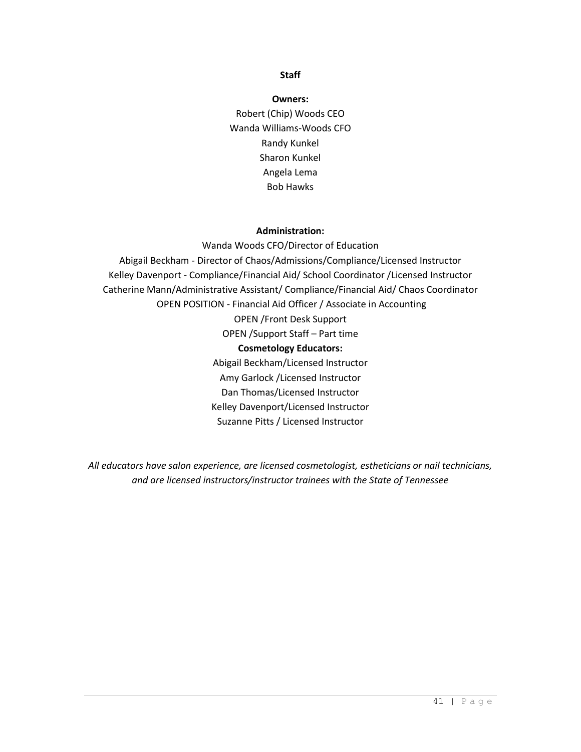#### **Staff**

**Owners:** Robert (Chip) Woods CEO Wanda Williams-Woods CFO Randy Kunkel Sharon Kunkel Angela Lema Bob Hawks

#### **Administration:**

Wanda Woods CFO/Director of Education Abigail Beckham - Director of Chaos/Admissions/Compliance/Licensed Instructor Kelley Davenport - Compliance/Financial Aid/ School Coordinator /Licensed Instructor Catherine Mann/Administrative Assistant/ Compliance/Financial Aid/ Chaos Coordinator OPEN POSITION - Financial Aid Officer / Associate in Accounting OPEN /Front Desk Support OPEN /Support Staff – Part time **Cosmetology Educators:** Abigail Beckham/Licensed Instructor Amy Garlock /Licensed Instructor Dan Thomas/Licensed Instructor Kelley Davenport/Licensed Instructor Suzanne Pitts / Licensed Instructor

*All educators have salon experience, are licensed cosmetologist, estheticians or nail technicians, and are licensed instructors/instructor trainees with the State of Tennessee*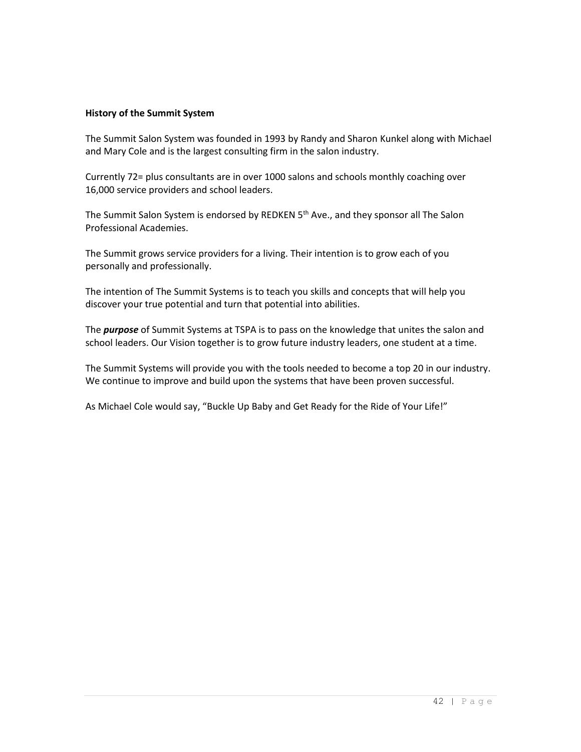## **History of the Summit System**

The Summit Salon System was founded in 1993 by Randy and Sharon Kunkel along with Michael and Mary Cole and is the largest consulting firm in the salon industry.

Currently 72= plus consultants are in over 1000 salons and schools monthly coaching over 16,000 service providers and school leaders.

The Summit Salon System is endorsed by REDKEN 5<sup>th</sup> Ave., and they sponsor all The Salon Professional Academies.

The Summit grows service providers for a living. Their intention is to grow each of you personally and professionally.

The intention of The Summit Systems is to teach you skills and concepts that will help you discover your true potential and turn that potential into abilities.

The *purpose* of Summit Systems at TSPA is to pass on the knowledge that unites the salon and school leaders. Our Vision together is to grow future industry leaders, one student at a time.

The Summit Systems will provide you with the tools needed to become a top 20 in our industry. We continue to improve and build upon the systems that have been proven successful.

As Michael Cole would say, "Buckle Up Baby and Get Ready for the Ride of Your Life!"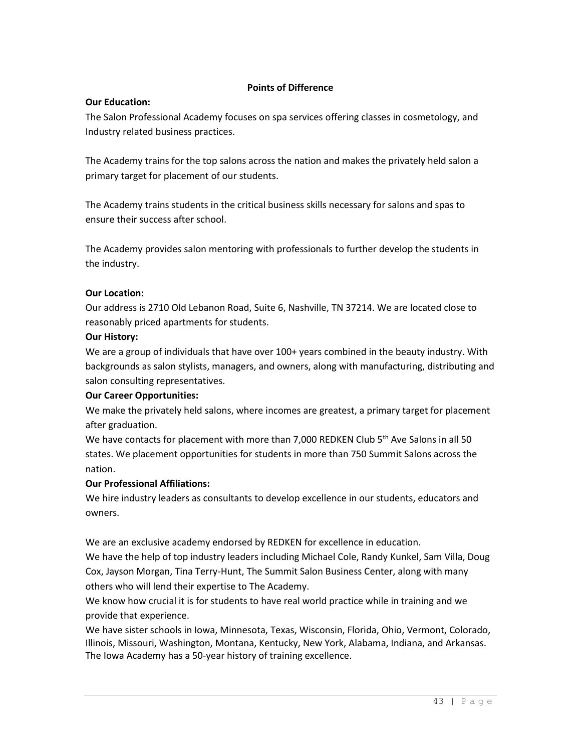# **Points of Difference**

# **Our Education:**

The Salon Professional Academy focuses on spa services offering classes in cosmetology, and Industry related business practices.

The Academy trains for the top salons across the nation and makes the privately held salon a primary target for placement of our students.

The Academy trains students in the critical business skills necessary for salons and spas to ensure their success after school.

The Academy provides salon mentoring with professionals to further develop the students in the industry.

# **Our Location:**

Our address is 2710 Old Lebanon Road, Suite 6, Nashville, TN 37214. We are located close to reasonably priced apartments for students.

# **Our History:**

We are a group of individuals that have over 100+ years combined in the beauty industry. With backgrounds as salon stylists, managers, and owners, along with manufacturing, distributing and salon consulting representatives.

# **Our Career Opportunities:**

We make the privately held salons, where incomes are greatest, a primary target for placement after graduation.

We have contacts for placement with more than 7,000 REDKEN Club  $5<sup>th</sup>$  Ave Salons in all 50 states. We placement opportunities for students in more than 750 Summit Salons across the nation.

# **Our Professional Affiliations:**

We hire industry leaders as consultants to develop excellence in our students, educators and owners.

We are an exclusive academy endorsed by REDKEN for excellence in education.

We have the help of top industry leaders including Michael Cole, Randy Kunkel, Sam Villa, Doug Cox, Jayson Morgan, Tina Terry-Hunt, The Summit Salon Business Center, along with many others who will lend their expertise to The Academy.

We know how crucial it is for students to have real world practice while in training and we provide that experience.

We have sister schools in Iowa, Minnesota, Texas, Wisconsin, Florida, Ohio, Vermont, Colorado, Illinois, Missouri, Washington, Montana, Kentucky, New York, Alabama, Indiana, and Arkansas. The Iowa Academy has a 50-year history of training excellence.